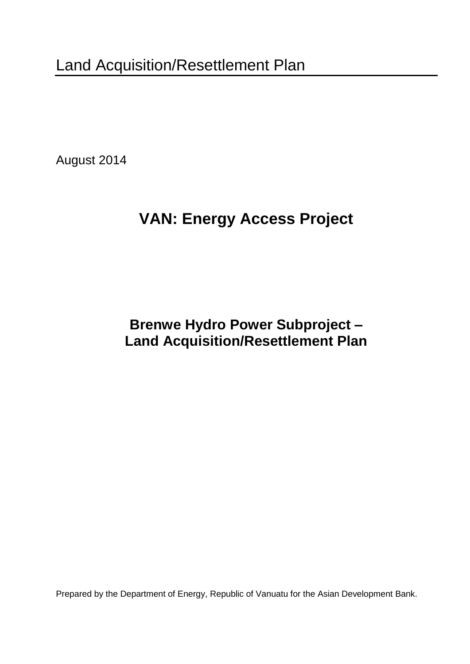August 2014

# **VAN: Energy Access Project**

**Brenwe Hydro Power Subproject – Land Acquisition/Resettlement Plan**

Prepared by the Department of Energy, Republic of Vanuatu for the Asian Development Bank.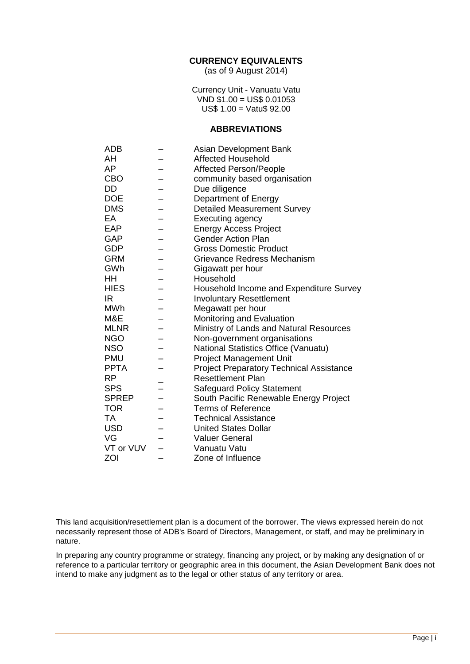#### **CURRENCY EQUIVALENTS**

(as of 9 August 2014)

Currency Unit - Vanuatu Vatu  $VND$  \$1.00 = US\$ 0.01053 US\$ 1.00 = Vatu\$ 92.00

#### **ABBREVIATIONS**

| <b>ADB</b>   | Asian Development Bank                          |
|--------------|-------------------------------------------------|
| AH           | <b>Affected Household</b>                       |
| AP           | <b>Affected Person/People</b>                   |
| <b>CBO</b>   | community based organisation                    |
| DD           | Due diligence                                   |
| <b>DOE</b>   | Department of Energy                            |
| <b>DMS</b>   | <b>Detailed Measurement Survey</b>              |
| EA           | <b>Executing agency</b>                         |
| EAP          | <b>Energy Access Project</b>                    |
| <b>GAP</b>   | <b>Gender Action Plan</b>                       |
| <b>GDP</b>   | <b>Gross Domestic Product</b>                   |
| <b>GRM</b>   | Grievance Redress Mechanism                     |
| GWh          | Gigawatt per hour                               |
| ΗH           | Household                                       |
| <b>HIES</b>  | Household Income and Expenditure Survey         |
| IR.          | <b>Involuntary Resettlement</b>                 |
| <b>MWh</b>   | Megawatt per hour                               |
| M&E          | Monitoring and Evaluation                       |
| <b>MLNR</b>  | Ministry of Lands and Natural Resources         |
| <b>NGO</b>   | Non-government organisations                    |
| <b>NSO</b>   | National Statistics Office (Vanuatu)            |
| <b>PMU</b>   | <b>Project Management Unit</b>                  |
| <b>PPTA</b>  | <b>Project Preparatory Technical Assistance</b> |
| RP           | <b>Resettlement Plan</b>                        |
| <b>SPS</b>   | <b>Safeguard Policy Statement</b>               |
| <b>SPREP</b> | South Pacific Renewable Energy Project          |
| <b>TOR</b>   | <b>Terms of Reference</b>                       |
| TA           | <b>Technical Assistance</b>                     |
| <b>USD</b>   | <b>United States Dollar</b>                     |
| VG           | <b>Valuer General</b>                           |
| VT or VUV    | Vanuatu Vatu                                    |
| ZOI          | Zone of Influence                               |

This land acquisition/resettlement plan is a document of the borrower. The views expressed herein do not necessarily represent those of ADB's Board of Directors, Management, or staff, and may be preliminary in nature.

In preparing any country programme or strategy, financing any project, or by making any designation of or reference to a particular territory or geographic area in this document, the Asian Development Bank does not intend to make any judgment as to the legal or other status of any territory or area.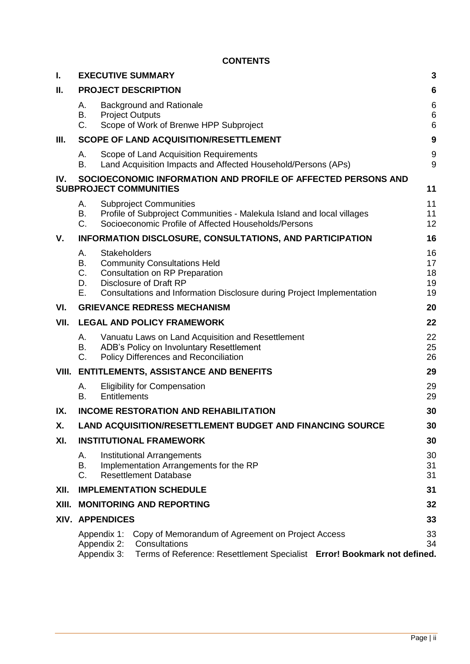#### **CONTENTS**

| L.    | <b>EXECUTIVE SUMMARY</b>       |                                           | 3                                                                                                                                                                                       |   |                            |
|-------|--------------------------------|-------------------------------------------|-----------------------------------------------------------------------------------------------------------------------------------------------------------------------------------------|---|----------------------------|
| П.    | <b>PROJECT DESCRIPTION</b>     |                                           |                                                                                                                                                                                         | 6 |                            |
|       | А.<br>В.<br>C.                 | <b>Project Outputs</b>                    | <b>Background and Rationale</b><br>Scope of Work of Brenwe HPP Subproject                                                                                                               |   | 6<br>6<br>6                |
| Ш.    |                                |                                           | <b>SCOPE OF LAND ACQUISITION/RESETTLEMENT</b>                                                                                                                                           |   | $\boldsymbol{9}$           |
|       | А.<br>В.                       |                                           | Scope of Land Acquisition Requirements<br>Land Acquisition Impacts and Affected Household/Persons (APs)                                                                                 |   | 9<br>9                     |
| IV.   |                                |                                           | SOCIOECONOMIC INFORMATION AND PROFILE OF AFFECTED PERSONS AND<br><b>SUBPROJECT COMMUNITIES</b>                                                                                          |   | 11                         |
|       | А.<br>В.<br>C.                 |                                           | <b>Subproject Communities</b><br>Profile of Subproject Communities - Malekula Island and local villages<br>Socioeconomic Profile of Affected Households/Persons                         |   | 11<br>11<br>12             |
| V.    |                                |                                           | <b>INFORMATION DISCLOSURE, CONSULTATIONS, AND PARTICIPATION</b>                                                                                                                         |   | 16                         |
|       | А.<br>В.<br>C.<br>D.<br>Е.     | <b>Stakeholders</b>                       | <b>Community Consultations Held</b><br><b>Consultation on RP Preparation</b><br><b>Disclosure of Draft RP</b><br>Consultations and Information Disclosure during Project Implementation |   | 16<br>17<br>18<br>19<br>19 |
| VI.   |                                |                                           | <b>GRIEVANCE REDRESS MECHANISM</b>                                                                                                                                                      |   | 20                         |
| VII.  |                                |                                           | <b>LEGAL AND POLICY FRAMEWORK</b>                                                                                                                                                       |   | 22                         |
|       | А.<br>В.<br>C.                 |                                           | Vanuatu Laws on Land Acquisition and Resettlement<br>ADB's Policy on Involuntary Resettlement<br>Policy Differences and Reconciliation                                                  |   | 22<br>25<br>26             |
| VIII. |                                |                                           | <b>ENTITLEMENTS, ASSISTANCE AND BENEFITS</b>                                                                                                                                            |   | 29                         |
|       | А.<br>В.                       | <b>Entitlements</b>                       | <b>Eligibility for Compensation</b>                                                                                                                                                     |   | 29<br>29                   |
| IX.   |                                |                                           | <b>INCOME RESTORATION AND REHABILITATION</b>                                                                                                                                            |   | 30                         |
| Χ.    |                                |                                           | <b>LAND ACQUISITION/RESETTLEMENT BUDGET AND FINANCING SOURCE</b>                                                                                                                        |   | 30                         |
| XI.   |                                |                                           | <b>INSTITUTIONAL FRAMEWORK</b>                                                                                                                                                          |   | 30                         |
|       | А.<br>В.<br>C.                 |                                           | <b>Institutional Arrangements</b><br>Implementation Arrangements for the RP<br><b>Resettlement Database</b>                                                                             |   | 30<br>31<br>31             |
| XII.  | <b>IMPLEMENTATION SCHEDULE</b> |                                           |                                                                                                                                                                                         |   | 31                         |
| XIII. |                                |                                           | <b>MONITORING AND REPORTING</b>                                                                                                                                                         |   | 32                         |
|       |                                | XIV. APPENDICES                           |                                                                                                                                                                                         |   | 33                         |
|       |                                | Appendix 1:<br>Appendix 2:<br>Appendix 3: | Copy of Memorandum of Agreement on Project Access<br>Consultations<br>Terms of Reference: Resettlement Specialist Error! Bookmark not defined.                                          |   | 33<br>34                   |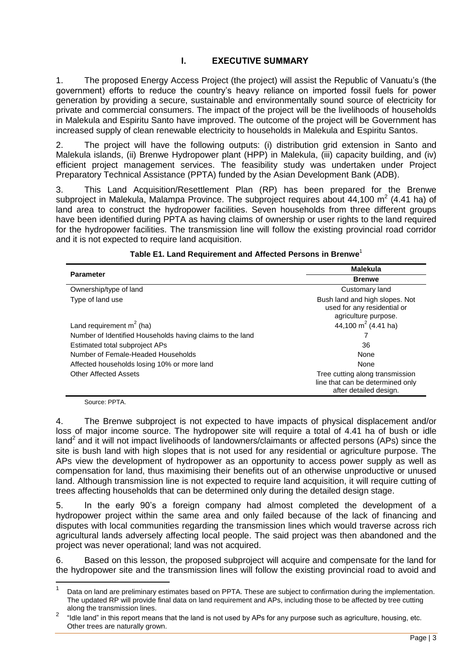# **I. EXECUTIVE SUMMARY**

<span id="page-3-0"></span>1. The proposed Energy Access Project (the project) will assist the Republic of Vanuatu's (the government) efforts to reduce the country's heavy reliance on imported fossil fuels for power generation by providing a secure, sustainable and environmentally sound source of electricity for private and commercial consumers. The impact of the project will be the livelihoods of households in Malekula and Espiritu Santo have improved. The outcome of the project will be Government has increased supply of clean renewable electricity to households in Malekula and Espiritu Santos.

2. The project will have the following outputs: (i) distribution grid extension in Santo and Malekula islands, (ii) Brenwe Hydropower plant (HPP) in Malekula, (iii) capacity building, and (iv) efficient project management services. The feasibility study was undertaken under Project Preparatory Technical Assistance (PPTA) funded by the Asian Development Bank (ADB).

3. This Land Acquisition/Resettlement Plan (RP) has been prepared for the Brenwe subproject in Malekula, Malampa Province. The subproject requires about 44,100 m<sup>2</sup> (4.41 ha) of land area to construct the hydropower facilities. Seven households from three different groups have been identified during PPTA as having claims of ownership or user rights to the land required for the hydropower facilities. The transmission line will follow the existing provincial road corridor and it is not expected to require land acquisition.

| <b>Parameter</b>                                          | <b>Malekula</b><br><b>Brenwe</b>                                                              |  |  |
|-----------------------------------------------------------|-----------------------------------------------------------------------------------------------|--|--|
|                                                           |                                                                                               |  |  |
| Ownership/type of land                                    | Customary land                                                                                |  |  |
| Type of land use                                          | Bush land and high slopes. Not<br>used for any residential or<br>agriculture purpose.         |  |  |
| Land requirement $m2$ (ha)                                | 44,100 m <sup>2</sup> (4.41 ha)                                                               |  |  |
| Number of Identified Households having claims to the land |                                                                                               |  |  |
| Estimated total subproject APs                            | 36                                                                                            |  |  |
| Number of Female-Headed Households                        | None                                                                                          |  |  |
| Affected households losing 10% or more land               | None                                                                                          |  |  |
| <b>Other Affected Assets</b>                              | Tree cutting along transmission<br>line that can be determined only<br>after detailed design. |  |  |

#### **Table E1. Land Requirement and Affected Persons in Brenwe**<sup>1</sup>

Source: PPTA.

4. The Brenwe subproject is not expected to have impacts of physical displacement and/or loss of major income source. The hydropower site will require a total of 4.41 ha of bush or idle land<sup>2</sup> and it will not impact livelihoods of landowners/claimants or affected persons (APs) since the site is bush land with high slopes that is not used for any residential or agriculture purpose. The APs view the development of hydropower as an opportunity to access power supply as well as compensation for land, thus maximising their benefits out of an otherwise unproductive or unused land. Although transmission line is not expected to require land acquisition, it will require cutting of trees affecting households that can be determined only during the detailed design stage.

5. In the early 90's a foreign company had almost completed the development of a hydropower project within the same area and only failed because of the lack of financing and disputes with local communities regarding the transmission lines which would traverse across rich agricultural lands adversely affecting local people. The said project was then abandoned and the project was never operational; land was not acquired.

6. Based on this lesson, the proposed subproject will acquire and compensate for the land for the hydropower site and the transmission lines will follow the existing provincial road to avoid and

 $\frac{1}{1}$ Data on land are preliminary estimates based on PPTA. These are subject to confirmation during the implementation. The updated RP will provide final data on land requirement and APs, including those to be affected by tree cutting along the transmission lines.

<sup>2</sup> "Idle land" in this report means that the land is not used by APs for any purpose such as agriculture, housing, etc. Other trees are naturally grown.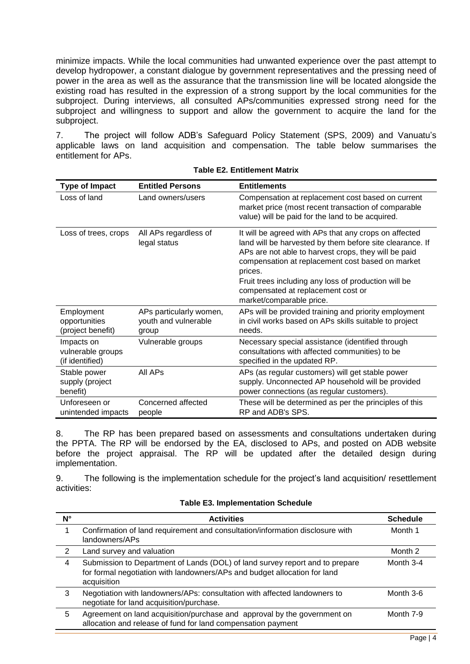minimize impacts. While the local communities had unwanted experience over the past attempt to develop hydropower, a constant dialogue by government representatives and the pressing need of power in the area as well as the assurance that the transmission line will be located alongside the existing road has resulted in the expression of a strong support by the local communities for the subproject. During interviews, all consulted APs/communities expressed strong need for the subproject and willingness to support and allow the government to acquire the land for the subproject.

7. The project will follow ADB's Safeguard Policy Statement (SPS, 2009) and Vanuatu's applicable laws on land acquisition and compensation. The table below summarises the entitlement for APs.

| <b>Type of Impact</b>                              | <b>Entitled Persons</b>                                  | <b>Entitlements</b>                                                                                                                                                                                                                                                                                                                                                |
|----------------------------------------------------|----------------------------------------------------------|--------------------------------------------------------------------------------------------------------------------------------------------------------------------------------------------------------------------------------------------------------------------------------------------------------------------------------------------------------------------|
| Loss of land                                       | Land owners/users                                        | Compensation at replacement cost based on current<br>market price (most recent transaction of comparable<br>value) will be paid for the land to be acquired.                                                                                                                                                                                                       |
| Loss of trees, crops                               | All APs regardless of<br>legal status                    | It will be agreed with APs that any crops on affected<br>land will be harvested by them before site clearance. If<br>APs are not able to harvest crops, they will be paid<br>compensation at replacement cost based on market<br>prices.<br>Fruit trees including any loss of production will be<br>compensated at replacement cost or<br>market/comparable price. |
| Employment<br>opportunities<br>(project benefit)   | APs particularly women,<br>youth and vulnerable<br>group | APs will be provided training and priority employment<br>in civil works based on APs skills suitable to project<br>needs.                                                                                                                                                                                                                                          |
| Impacts on<br>vulnerable groups<br>(if identified) | Vulnerable groups                                        | Necessary special assistance (identified through<br>consultations with affected communities) to be<br>specified in the updated RP.                                                                                                                                                                                                                                 |
| Stable power<br>supply (project<br>benefit)        | All APs                                                  | APs (as regular customers) will get stable power<br>supply. Unconnected AP household will be provided<br>power connections (as regular customers).                                                                                                                                                                                                                 |
| Unforeseen or<br>unintended impacts                | Concerned affected<br>people                             | These will be determined as per the principles of this<br>RP and ADB's SPS.                                                                                                                                                                                                                                                                                        |

|  |  | <b>Table E2. Entitlement Matrix</b> |  |
|--|--|-------------------------------------|--|
|--|--|-------------------------------------|--|

8. The RP has been prepared based on assessments and consultations undertaken during the PPTA. The RP will be endorsed by the EA, disclosed to APs, and posted on ADB website before the project appraisal. The RP will be updated after the detailed design during implementation.

9. The following is the implementation schedule for the project's land acquisition/ resettlement activities:

|  | <b>Table E3. Implementation Schedule</b> |  |
|--|------------------------------------------|--|
|--|------------------------------------------|--|

| N° | <b>Activities</b>                                                                                                                                                        | <b>Schedule</b> |
|----|--------------------------------------------------------------------------------------------------------------------------------------------------------------------------|-----------------|
|    | Confirmation of land requirement and consultation/information disclosure with<br>landowners/APs                                                                          | Month 1         |
| 2  | Land survey and valuation                                                                                                                                                | Month 2         |
| 4  | Submission to Department of Lands (DOL) of land survey report and to prepare<br>for formal negotiation with landowners/APs and budget allocation for land<br>acquisition | Month 3-4       |
| 3  | Negotiation with landowners/APs: consultation with affected landowners to<br>negotiate for land acquisition/purchase.                                                    | Month 3-6       |
| 5  | Agreement on land acquisition/purchase and approval by the government on<br>allocation and release of fund for land compensation payment                                 | Month 7-9       |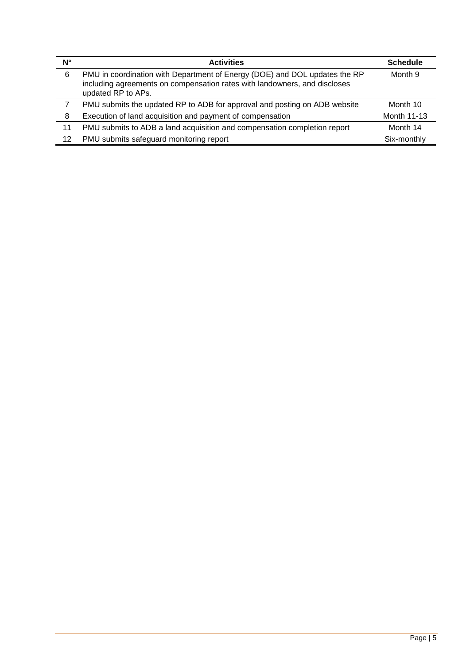| N° | <b>Activities</b>                                                                                                                                                             | <b>Schedule</b> |
|----|-------------------------------------------------------------------------------------------------------------------------------------------------------------------------------|-----------------|
| 6  | PMU in coordination with Department of Energy (DOE) and DOL updates the RP<br>including agreements on compensation rates with landowners, and discloses<br>updated RP to APs. | Month 9         |
|    | PMU submits the updated RP to ADB for approval and posting on ADB website                                                                                                     | Month 10        |
| 8  | Execution of land acquisition and payment of compensation                                                                                                                     | Month 11-13     |
| 11 | PMU submits to ADB a land acquisition and compensation completion report                                                                                                      | Month 14        |
| 12 | PMU submits safeguard monitoring report                                                                                                                                       | Six-monthly     |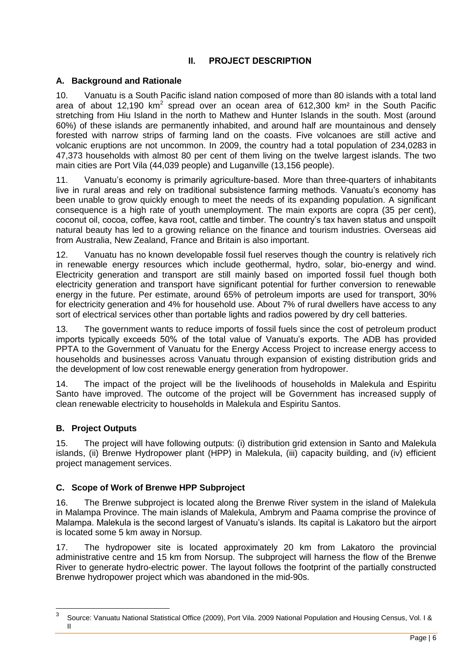# **II. PROJECT DESCRIPTION**

# <span id="page-6-1"></span><span id="page-6-0"></span>**A. Background and Rationale**

10. Vanuatu is a South Pacific island nation composed of more than 80 islands with a total land area of about 12,190  $km^2$  spread over an ocean area of 612,300  $km^2$  in the South Pacific stretching from Hiu Island in the north to Mathew and Hunter Islands in the south. Most (around 60%) of these islands are permanently inhabited, and around half are mountainous and densely forested with narrow strips of farming land on the coasts. Five volcanoes are still active and volcanic eruptions are not uncommon. In 2009, the country had a total population of 234,0283 in 47,373 households with almost 80 per cent of them living on the twelve largest islands. The two main cities are Port Vila (44,039 people) and Luganville (13,156 people).

11. Vanuatu's economy is primarily agriculture-based. More than three-quarters of inhabitants live in rural areas and rely on traditional subsistence farming methods. Vanuatu's economy has been unable to grow quickly enough to meet the needs of its expanding population. A significant consequence is a high rate of youth unemployment. The main exports are copra (35 per cent), coconut oil, cocoa, coffee, kava root, cattle and timber. The country's tax haven status and unspoilt natural beauty has led to a growing reliance on the finance and tourism industries. Overseas aid from Australia, New Zealand, France and Britain is also important.

12. Vanuatu has no known developable fossil fuel reserves though the country is relatively rich in renewable energy resources which include geothermal, hydro, solar, bio-energy and wind. Electricity generation and transport are still mainly based on imported fossil fuel though both electricity generation and transport have significant potential for further conversion to renewable energy in the future. Per estimate, around 65% of petroleum imports are used for transport, 30% for electricity generation and 4% for household use. About 7% of rural dwellers have access to any sort of electrical services other than portable lights and radios powered by dry cell batteries.

13. The government wants to reduce imports of fossil fuels since the cost of petroleum product imports typically exceeds 50% of the total value of Vanuatu's exports. The ADB has provided PPTA to the Government of Vanuatu for the Energy Access Project to increase energy access to households and businesses across Vanuatu through expansion of existing distribution grids and the development of low cost renewable energy generation from hydropower.

14. The impact of the project will be the livelihoods of households in Malekula and Espiritu Santo have improved. The outcome of the project will be Government has increased supply of clean renewable electricity to households in Malekula and Espiritu Santos.

#### <span id="page-6-2"></span>**B. Project Outputs**

15. The project will have following outputs: (i) distribution grid extension in Santo and Malekula islands, (ii) Brenwe Hydropower plant (HPP) in Malekula, (iii) capacity building, and (iv) efficient project management services.

# <span id="page-6-3"></span>**C. Scope of Work of Brenwe HPP Subproject**

16. The Brenwe subproject is located along the Brenwe River system in the island of Malekula in Malampa Province. The main islands of Malekula, Ambrym and Paama comprise the province of Malampa. Malekula is the second largest of Vanuatu's islands. Its capital is Lakatoro but the airport is located some 5 km away in Norsup.

17. The hydropower site is located approximately 20 km from Lakatoro the provincial administrative centre and 15 km from Norsup. The subproject will harness the flow of the Brenwe River to generate hydro-electric power. The layout follows the footprint of the partially constructed Brenwe hydropower project which was abandoned in the mid-90s.

 3 Source: Vanuatu National Statistical Office (2009), Port Vila. 2009 National Population and Housing Census, Vol. I & II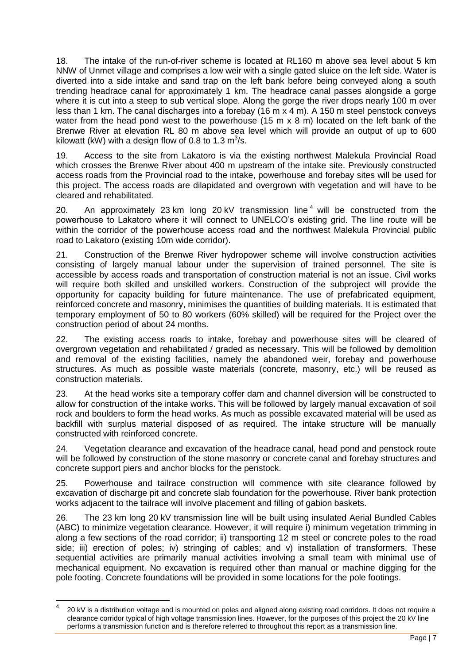18. The intake of the run-of-river scheme is located at RL160 m above sea level about 5 km NNW of Unmet village and comprises a low weir with a single gated sluice on the left side. Water is diverted into a side intake and sand trap on the left bank before being conveyed along a south trending headrace canal for approximately 1 km. The headrace canal passes alongside a gorge where it is cut into a steep to sub vertical slope. Along the gorge the river drops nearly 100 m over less than 1 km. The canal discharges into a forebay (16 m x 4 m). A 150 m steel penstock conveys water from the head pond west to the powerhouse (15 m x 8 m) located on the left bank of the Brenwe River at elevation RL 80 m above sea level which will provide an output of up to 600 kilowatt (kW) with a design flow of 0.8 to 1.3  $\textsf{m}^3\textsf{/s}.$ 

19. Access to the site from Lakatoro is via the existing northwest Malekula Provincial Road which crosses the Brenwe River about 400 m upstream of the intake site. Previously constructed access roads from the Provincial road to the intake, powerhouse and forebay sites will be used for this project. The access roads are dilapidated and overgrown with vegetation and will have to be cleared and rehabilitated.

20. An approximately 23 km long 20 kV transmission line<sup>4</sup> will be constructed from the powerhouse to Lakatoro where it will connect to UNELCO's existing grid. The line route will be within the corridor of the powerhouse access road and the northwest Malekula Provincial public road to Lakatoro (existing 10m wide corridor).

21. Construction of the Brenwe River hydropower scheme will involve construction activities consisting of largely manual labour under the supervision of trained personnel. The site is accessible by access roads and transportation of construction material is not an issue. Civil works will require both skilled and unskilled workers. Construction of the subproject will provide the opportunity for capacity building for future maintenance. The use of prefabricated equipment, reinforced concrete and masonry, minimises the quantities of building materials. It is estimated that temporary employment of 50 to 80 workers (60% skilled) will be required for the Project over the construction period of about 24 months.

22. The existing access roads to intake, forebay and powerhouse sites will be cleared of overgrown vegetation and rehabilitated / graded as necessary. This will be followed by demolition and removal of the existing facilities, namely the abandoned weir, forebay and powerhouse structures. As much as possible waste materials (concrete, masonry, etc.) will be reused as construction materials.

23. At the head works site a temporary coffer dam and channel diversion will be constructed to allow for construction of the intake works. This will be followed by largely manual excavation of soil rock and boulders to form the head works. As much as possible excavated material will be used as backfill with surplus material disposed of as required. The intake structure will be manually constructed with reinforced concrete.

24. Vegetation clearance and excavation of the headrace canal, head pond and penstock route will be followed by construction of the stone masonry or concrete canal and forebay structures and concrete support piers and anchor blocks for the penstock.

25. Powerhouse and tailrace construction will commence with site clearance followed by excavation of discharge pit and concrete slab foundation for the powerhouse. River bank protection works adjacent to the tailrace will involve placement and filling of gabion baskets.

26. The 23 km long 20 kV transmission line will be built using insulated Aerial Bundled Cables (ABC) to minimize vegetation clearance. However, it will require i) minimum vegetation trimming in along a few sections of the road corridor; ii) transporting 12 m steel or concrete poles to the road side; iii) erection of poles; iv) stringing of cables; and v) installation of transformers. These sequential activities are primarily manual activities involving a small team with minimal use of mechanical equipment. No excavation is required other than manual or machine digging for the pole footing. Concrete foundations will be provided in some locations for the pole footings.

 $\overline{a}$ 

<sup>4</sup> 20 kV is a distribution voltage and is mounted on poles and aligned along existing road corridors. It does not require a clearance corridor typical of high voltage transmission lines. However, for the purposes of this project the 20 kV line performs a transmission function and is therefore referred to throughout this report as a transmission line.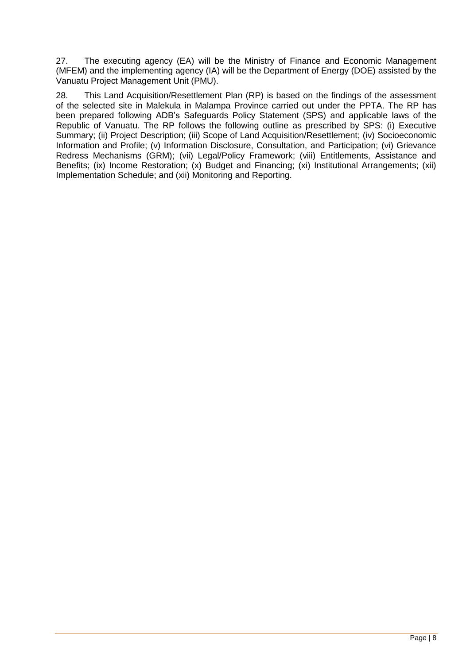27. The executing agency (EA) will be the Ministry of Finance and Economic Management (MFEM) and the implementing agency (IA) will be the Department of Energy (DOE) assisted by the Vanuatu Project Management Unit (PMU).

28. This Land Acquisition/Resettlement Plan (RP) is based on the findings of the assessment of the selected site in Malekula in Malampa Province carried out under the PPTA. The RP has been prepared following ADB's Safeguards Policy Statement (SPS) and applicable laws of the Republic of Vanuatu. The RP follows the following outline as prescribed by SPS: (i) Executive Summary; (ii) Project Description; (iii) Scope of Land Acquisition/Resettlement; (iv) Socioeconomic Information and Profile; (v) Information Disclosure, Consultation, and Participation; (vi) Grievance Redress Mechanisms (GRM); (vii) Legal/Policy Framework; (viii) Entitlements, Assistance and Benefits; (ix) Income Restoration; (x) Budget and Financing; (xi) Institutional Arrangements; (xii) Implementation Schedule; and (xii) Monitoring and Reporting.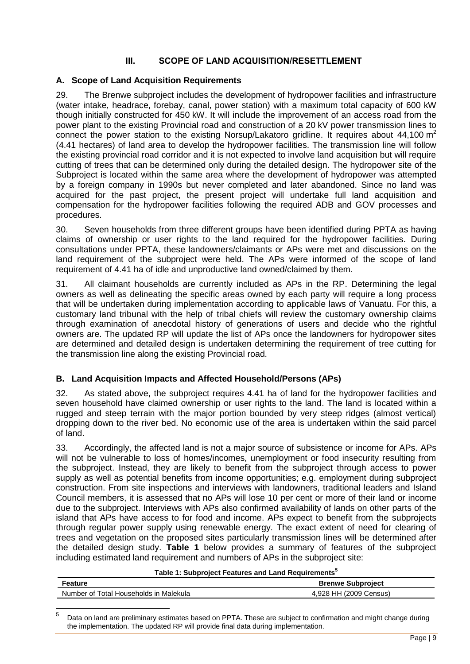# **III. SCOPE OF LAND ACQUISITION/RESETTLEMENT**

#### <span id="page-9-1"></span><span id="page-9-0"></span>**A. Scope of Land Acquisition Requirements**

29. The Brenwe subproject includes the development of hydropower facilities and infrastructure (water intake, headrace, forebay, canal, power station) with a maximum total capacity of 600 kW though initially constructed for 450 kW. It will include the improvement of an access road from the power plant to the existing Provincial road and construction of a 20 kV power transmission lines to connect the power station to the existing Norsup/Lakatoro gridline. It requires about 44,100  $m^2$ (4.41 hectares) of land area to develop the hydropower facilities. The transmission line will follow the existing provincial road corridor and it is not expected to involve land acquisition but will require cutting of trees that can be determined only during the detailed design. The hydropower site of the Subproject is located within the same area where the development of hydropower was attempted by a foreign company in 1990s but never completed and later abandoned. Since no land was acquired for the past project, the present project will undertake full land acquisition and compensation for the hydropower facilities following the required ADB and GOV processes and procedures.

30. Seven households from three different groups have been identified during PPTA as having claims of ownership or user rights to the land required for the hydropower facilities. During consultations under PPTA, these landowners/claimants or APs were met and discussions on the land requirement of the subproject were held. The APs were informed of the scope of land requirement of 4.41 ha of idle and unproductive land owned/claimed by them.

31. All claimant households are currently included as APs in the RP. Determining the legal owners as well as delineating the specific areas owned by each party will require a long process that will be undertaken during implementation according to applicable laws of Vanuatu. For this, a customary land tribunal with the help of tribal chiefs will review the customary ownership claims through examination of anecdotal history of generations of users and decide who the rightful owners are. The updated RP will update the list of APs once the landowners for hydropower sites are determined and detailed design is undertaken determining the requirement of tree cutting for the transmission line along the existing Provincial road.

# <span id="page-9-2"></span>**B. Land Acquisition Impacts and Affected Household/Persons (APs)**

32. As stated above, the subproject requires 4.41 ha of land for the hydropower facilities and seven household have claimed ownership or user rights to the land. The land is located within a rugged and steep terrain with the major portion bounded by very steep ridges (almost vertical) dropping down to the river bed. No economic use of the area is undertaken within the said parcel of land.

33. Accordingly, the affected land is not a major source of subsistence or income for APs. APs will not be vulnerable to loss of homes/incomes, unemployment or food insecurity resulting from the subproject. Instead, they are likely to benefit from the subproject through access to power supply as well as potential benefits from income opportunities; e.g. employment during subproject construction. From site inspections and interviews with landowners, traditional leaders and Island Council members, it is assessed that no APs will lose 10 per cent or more of their land or income due to the subproject. Interviews with APs also confirmed availability of lands on other parts of the island that APs have access to for food and income. APs expect to benefit from the subprojects through regular power supply using renewable energy. The exact extent of need for clearing of trees and vegetation on the proposed sites particularly transmission lines will be determined after the detailed design study. **Table 1** below provides a summary of features of the subproject including estimated land requirement and numbers of APs in the subproject site:

| Table 1: Subproject Features and Land Requirements |                          |  |  |
|----------------------------------------------------|--------------------------|--|--|
| Feature                                            | <b>Brenwe Subproject</b> |  |  |
| Number of Total Households in Malekula             | 4.928 HH (2009 Census)   |  |  |

#### **Table 1: Subproject Features and Land Requirements<sup>5</sup>**

<sup>—&</sup>lt;br>5 Data on land are preliminary estimates based on PPTA. These are subject to confirmation and might change during the implementation. The updated RP will provide final data during implementation.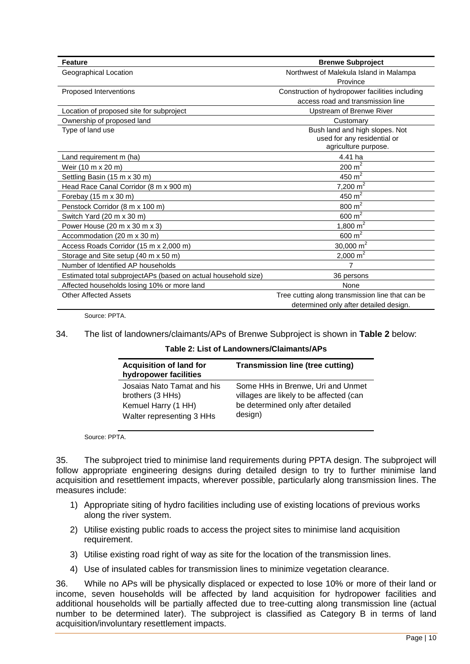| <b>Feature</b>                                                 | <b>Brenwe Subproject</b>                         |
|----------------------------------------------------------------|--------------------------------------------------|
| Geographical Location                                          | Northwest of Malekula Island in Malampa          |
|                                                                | Province                                         |
| Proposed Interventions                                         | Construction of hydropower facilities including  |
|                                                                | access road and transmission line                |
| Location of proposed site for subproject                       | <b>Upstream of Brenwe River</b>                  |
| Ownership of proposed land                                     | Customary                                        |
| Type of land use                                               | Bush land and high slopes. Not                   |
|                                                                | used for any residential or                      |
|                                                                | agriculture purpose.                             |
| Land requirement m (ha)                                        | 4.41 ha                                          |
| Weir (10 m x 20 m)                                             | $\frac{200}{1}$ m <sup>2</sup>                   |
| Settling Basin (15 m x 30 m)                                   | 450 $m^2$                                        |
| Head Race Canal Corridor (8 m x 900 m)                         | $7,200 \text{ m}^2$                              |
| Forebay (15 m x 30 m)                                          | $\frac{450}{1}$ m <sup>2</sup>                   |
| Penstock Corridor (8 m x 100 m)                                | 800 $m2$                                         |
| Switch Yard (20 m x 30 m)                                      | $600 \text{ m}^2$                                |
| Power House (20 m x 30 m x 3)                                  | 1,800 $m2$                                       |
| Accommodation (20 m x 30 m)                                    | $600 \text{ m}^2$                                |
| Access Roads Corridor (15 m x 2,000 m)                         | 30,000 $m^2$                                     |
| Storage and Site setup (40 m x 50 m)                           | $2,000 \text{ m}^2$                              |
| Number of Identified AP households                             | 7                                                |
| Estimated total subprojectAPs (based on actual household size) | 36 persons                                       |
| Affected households losing 10% or more land                    | None                                             |
| <b>Other Affected Assets</b>                                   | Tree cutting along transmission line that can be |
|                                                                | determined only after detailed design.           |

Source: PPTA.

34. The list of landowners/claimants/APs of Brenwe Subproject is shown in **Table 2** below:

**Table 2: List of Landowners/Claimants/APs**

| <b>Acquisition of land for</b><br>hydropower facilities | <b>Transmission line (tree cutting)</b> |
|---------------------------------------------------------|-----------------------------------------|
| Josaias Nato Tamat and his                              | Some HHs in Brenwe, Uri and Unmet       |
| brothers (3 HHs)                                        | villages are likely to be affected (can |
| Kemuel Harry (1 HH)                                     | be determined only after detailed       |
| Walter representing 3 HHs                               | design)                                 |

Source: PPTA.

35. The subproject tried to minimise land requirements during PPTA design. The subproject will follow appropriate engineering designs during detailed design to try to further minimise land acquisition and resettlement impacts, wherever possible, particularly along transmission lines. The measures include:

- 1) Appropriate siting of hydro facilities including use of existing locations of previous works along the river system.
- 2) Utilise existing public roads to access the project sites to minimise land acquisition requirement.
- 3) Utilise existing road right of way as site for the location of the transmission lines.
- 4) Use of insulated cables for transmission lines to minimize vegetation clearance.

36. While no APs will be physically displaced or expected to lose 10% or more of their land or income, seven households will be affected by land acquisition for hydropower facilities and additional households will be partially affected due to tree-cutting along transmission line (actual number to be determined later). The subproject is classified as Category B in terms of land acquisition/involuntary resettlement impacts.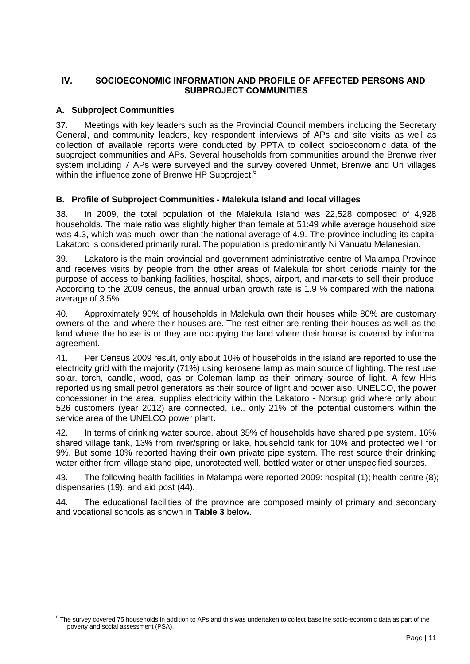# <span id="page-11-0"></span>**IV. SOCIOECONOMIC INFORMATION AND PROFILE OF AFFECTED PERSONS AND SUBPROJECT COMMUNITIES**

# <span id="page-11-1"></span>**A. Subproject Communities**

37. Meetings with key leaders such as the Provincial Council members including the Secretary General, and community leaders, key respondent interviews of APs and site visits as well as collection of available reports were conducted by PPTA to collect socioeconomic data of the subproject communities and APs. Several households from communities around the Brenwe river system including 7 APs were surveyed and the survey covered Unmet, Brenwe and Uri villages within the influence zone of Brenwe HP Subproject.<sup>6</sup>

# <span id="page-11-2"></span>**B. Profile of Subproject Communities - Malekula Island and local villages**

38. In 2009, the total population of the Malekula Island was 22,528 composed of 4,928 households. The male ratio was slightly higher than female at 51:49 while average household size was 4.3, which was much lower than the national average of 4.9. The province including its capital Lakatoro is considered primarily rural. The population is predominantly Ni Vanuatu Melanesian.

39. Lakatoro is the main provincial and government administrative centre of Malampa Province and receives visits by people from the other areas of Malekula for short periods mainly for the purpose of access to banking facilities, hospital, shops, airport, and markets to sell their produce. According to the 2009 census, the annual urban growth rate is 1.9 % compared with the national average of 3.5%.

40. Approximately 90% of households in Malekula own their houses while 80% are customary owners of the land where their houses are. The rest either are renting their houses as well as the land where the house is or they are occupying the land where their house is covered by informal agreement.

41. Per Census 2009 result, only about 10% of households in the island are reported to use the electricity grid with the majority (71%) using kerosene lamp as main source of lighting. The rest use solar, torch, candle, wood, gas or Coleman lamp as their primary source of light. A few HHs reported using small petrol generators as their source of light and power also. UNELCO, the power concessioner in the area, supplies electricity within the Lakatoro - Norsup grid where only about 526 customers (year 2012) are connected, i.e., only 21% of the potential customers within the service area of the UNELCO power plant.

42. In terms of drinking water source, about 35% of households have shared pipe system, 16% shared village tank, 13% from river/spring or lake, household tank for 10% and protected well for 9%. But some 10% reported having their own private pipe system. The rest source their drinking water either from village stand pipe, unprotected well, bottled water or other unspecified sources.

43. The following health facilities in Malampa were reported 2009: hospital (1); health centre (8); dispensaries (19); and aid post (44).

44. The educational facilities of the province are composed mainly of primary and secondary and vocational schools as shown in **Table 3** below.

<sup>6</sup> The survey covered 75 households in addition to APs and this was undertaken to collect baseline socio-economic data as part of the poverty and social assessment (PSA).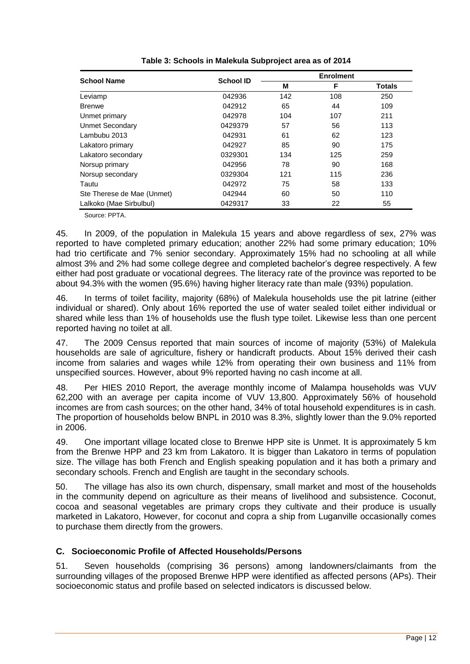| <b>School Name</b>         | <b>School ID</b> | <b>Enrolment</b> |     |               |
|----------------------------|------------------|------------------|-----|---------------|
|                            |                  | M                | F   | <b>Totals</b> |
| Leviamp                    | 042936           | 142              | 108 | 250           |
| <b>Brenwe</b>              | 042912           | 65               | 44  | 109           |
| Unmet primary              | 042978           | 104              | 107 | 211           |
| <b>Unmet Secondary</b>     | 0429379          | 57               | 56  | 113           |
| Lambubu 2013               | 042931           | 61               | 62  | 123           |
| Lakatoro primary           | 042927           | 85               | 90  | 175           |
| Lakatoro secondary         | 0329301          | 134              | 125 | 259           |
| Norsup primary             | 042956           | 78               | 90  | 168           |
| Norsup secondary           | 0329304          | 121              | 115 | 236           |
| Tautu                      | 042972           | 75               | 58  | 133           |
| Ste Therese de Mae (Unmet) | 042944           | 60               | 50  | 110           |
| Lalkoko (Mae Sirbulbul)    | 0429317          | 33               | 22  | 55            |

Source: PPTA.

45. In 2009, of the population in Malekula 15 years and above regardless of sex, 27% was reported to have completed primary education; another 22% had some primary education; 10% had trio certificate and 7% senior secondary. Approximately 15% had no schooling at all while almost 3% and 2% had some college degree and completed bachelor's degree respectively. A few either had post graduate or vocational degrees. The literacy rate of the province was reported to be about 94.3% with the women (95.6%) having higher literacy rate than male (93%) population.

46. In terms of toilet facility, majority (68%) of Malekula households use the pit latrine (either individual or shared). Only about 16% reported the use of water sealed toilet either individual or shared while less than 1% of households use the flush type toilet. Likewise less than one percent reported having no toilet at all.

47. The 2009 Census reported that main sources of income of majority (53%) of Malekula households are sale of agriculture, fishery or handicraft products. About 15% derived their cash income from salaries and wages while 12% from operating their own business and 11% from unspecified sources. However, about 9% reported having no cash income at all.

48. Per HIES 2010 Report, the average monthly income of Malampa households was VUV 62,200 with an average per capita income of VUV 13,800. Approximately 56% of household incomes are from cash sources; on the other hand, 34% of total household expenditures is in cash. The proportion of households below BNPL in 2010 was 8.3%, slightly lower than the 9.0% reported in 2006.

49. One important village located close to Brenwe HPP site is Unmet. It is approximately 5 km from the Brenwe HPP and 23 km from Lakatoro. It is bigger than Lakatoro in terms of population size. The village has both French and English speaking population and it has both a primary and secondary schools. French and English are taught in the secondary schools.

50. The village has also its own church, dispensary, small market and most of the households in the community depend on agriculture as their means of livelihood and subsistence. Coconut, cocoa and seasonal vegetables are primary crops they cultivate and their produce is usually marketed in Lakatoro, However, for coconut and copra a ship from Luganville occasionally comes to purchase them directly from the growers.

# <span id="page-12-0"></span>**C. Socioeconomic Profile of Affected Households/Persons**

51. Seven households (comprising 36 persons) among landowners/claimants from the surrounding villages of the proposed Brenwe HPP were identified as affected persons (APs). Their socioeconomic status and profile based on selected indicators is discussed below.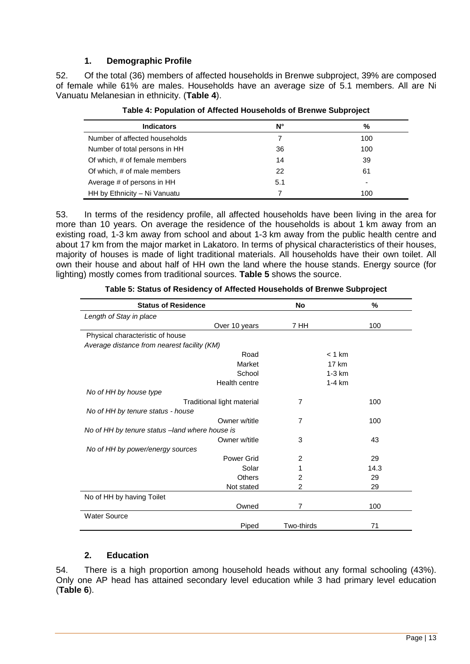# **1. Demographic Profile**

52. Of the total (36) members of affected households in Brenwe subproject, 39% are composed of female while 61% are males. Households have an average size of 5.1 members. All are Ni Vanuatu Melanesian in ethnicity. (**Table 4**).

| <b>Indicators</b>             | N°  | %   |
|-------------------------------|-----|-----|
| Number of affected households |     | 100 |
| Number of total persons in HH | 36  | 100 |
| Of which, # of female members | 14  | 39  |
| Of which, # of male members   | 22  | 61  |
| Average # of persons in HH    | 5.1 |     |
| HH by Ethnicity - Ni Vanuatu  |     | 100 |

**Table 4: Population of Affected Households of Brenwe Subproject**

53. In terms of the residency profile, all affected households have been living in the area for more than 10 years. On average the residence of the households is about 1 km away from an existing road, 1-3 km away from school and about 1-3 km away from the public health centre and about 17 km from the major market in Lakatoro. In terms of physical characteristics of their houses, majority of houses is made of light traditional materials. All households have their own toilet. All own their house and about half of HH own the land where the house stands. Energy source (for lighting) mostly comes from traditional sources. **Table 5** shows the source.

| <b>Status of Residence</b>                     | <b>No</b>      | $\%$     |
|------------------------------------------------|----------------|----------|
| Length of Stay in place                        |                |          |
| Over 10 years                                  | 7 HH           | 100      |
| Physical characteristic of house               |                |          |
| Average distance from nearest facility (KM)    |                |          |
| Road                                           |                | $< 1$ km |
| Market                                         |                | 17 km    |
| School                                         |                | $1-3$ km |
| Health centre                                  |                | $1-4 km$ |
| No of HH by house type                         |                |          |
| Traditional light material                     | 7              | 100      |
| No of HH by tenure status - house              |                |          |
| Owner w/title                                  | 7              | 100      |
| No of HH by tenure status -land where house is |                |          |
| Owner w/title                                  | 3              | 43       |
| No of HH by power/energy sources               |                |          |
| Power Grid                                     | $\overline{2}$ | 29       |
| Solar                                          | 1              | 14.3     |
| <b>Others</b>                                  | 2              | 29       |
| Not stated                                     | 2              | 29       |
| No of HH by having Toilet                      |                |          |
| Owned                                          | 7              | 100      |
| <b>Water Source</b>                            |                |          |
| Piped                                          | Two-thirds     | 71       |

**Table 5: Status of Residency of Affected Households of Brenwe Subproject**

# **2. Education**

54. There is a high proportion among household heads without any formal schooling (43%). Only one AP head has attained secondary level education while 3 had primary level education (**Table 6**).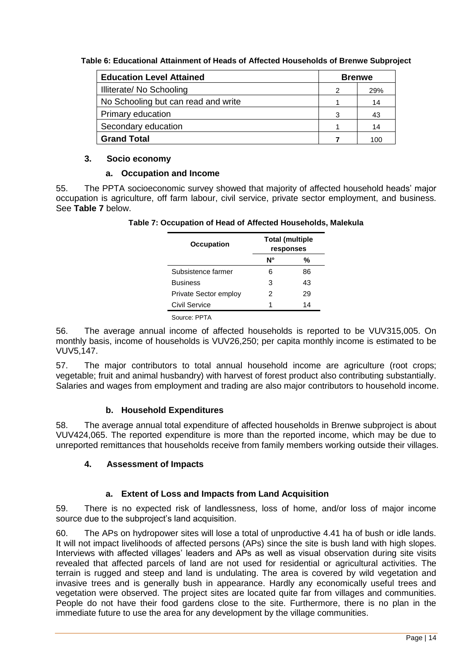**Table 6: Educational Attainment of Heads of Affected Households of Brenwe Subproject**

| <b>Education Level Attained</b>     |   | <b>Brenwe</b> |  |
|-------------------------------------|---|---------------|--|
| Illiterate/ No Schooling            | 2 | 29%           |  |
| No Schooling but can read and write |   | 14            |  |
| <b>Primary education</b>            | З | 43            |  |
| Secondary education                 |   | 14            |  |
| <b>Grand Total</b>                  |   | 100           |  |

# **3. Socio economy**

# **a. Occupation and Income**

55. The PPTA socioeconomic survey showed that majority of affected household heads' major occupation is agriculture, off farm labour, civil service, private sector employment, and business. See **Table 7** below.

| <b>Occupation</b>     |    | <b>Total (multiple</b><br>responses |  |
|-----------------------|----|-------------------------------------|--|
|                       | Ν° | %                                   |  |
| Subsistence farmer    | 6  | 86                                  |  |
| <b>Business</b>       | з  | 43                                  |  |
| Private Sector employ | 2  | 29                                  |  |
| Civil Service         | 1  | 14                                  |  |
| Source: PPTA          |    |                                     |  |

56. The average annual income of affected households is reported to be VUV315,005. On monthly basis, income of households is VUV26,250; per capita monthly income is estimated to be VUV5,147.

57. The major contributors to total annual household income are agriculture (root crops; vegetable; fruit and animal husbandry) with harvest of forest product also contributing substantially. Salaries and wages from employment and trading are also major contributors to household income.

# **b. Household Expenditures**

58. The average annual total expenditure of affected households in Brenwe subproject is about VUV424,065. The reported expenditure is more than the reported income, which may be due to unreported remittances that households receive from family members working outside their villages.

# **4. Assessment of Impacts**

# **a. Extent of Loss and Impacts from Land Acquisition**

59. There is no expected risk of landlessness, loss of home, and/or loss of major income source due to the subproject's land acquisition.

60. The APs on hydropower sites will lose a total of unproductive 4.41 ha of bush or idle lands. It will not impact livelihoods of affected persons (APs) since the site is bush land with high slopes. Interviews with affected villages' leaders and APs as well as visual observation during site visits revealed that affected parcels of land are not used for residential or agricultural activities. The terrain is rugged and steep and land is undulating. The area is covered by wild vegetation and invasive trees and is generally bush in appearance. Hardly any economically useful trees and vegetation were observed. The project sites are located quite far from villages and communities. People do not have their food gardens close to the site. Furthermore, there is no plan in the immediate future to use the area for any development by the village communities.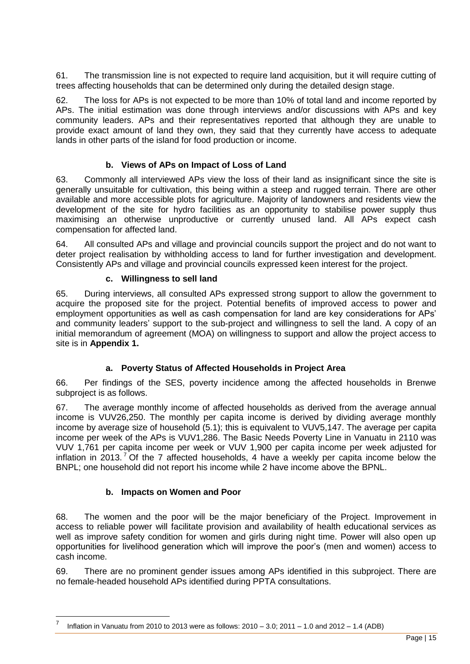61. The transmission line is not expected to require land acquisition, but it will require cutting of trees affecting households that can be determined only during the detailed design stage.

62. The loss for APs is not expected to be more than 10% of total land and income reported by APs. The initial estimation was done through interviews and/or discussions with APs and key community leaders. APs and their representatives reported that although they are unable to provide exact amount of land they own, they said that they currently have access to adequate lands in other parts of the island for food production or income.

# **b. Views of APs on Impact of Loss of Land**

63. Commonly all interviewed APs view the loss of their land as insignificant since the site is generally unsuitable for cultivation, this being within a steep and rugged terrain. There are other available and more accessible plots for agriculture. Majority of landowners and residents view the development of the site for hydro facilities as an opportunity to stabilise power supply thus maximising an otherwise unproductive or currently unused land. All APs expect cash compensation for affected land.

64. All consulted APs and village and provincial councils support the project and do not want to deter project realisation by withholding access to land for further investigation and development. Consistently APs and village and provincial councils expressed keen interest for the project.

#### **c. Willingness to sell land**

65. During interviews, all consulted APs expressed strong support to allow the government to acquire the proposed site for the project. Potential benefits of improved access to power and employment opportunities as well as cash compensation for land are key considerations for APs' and community leaders' support to the sub-project and willingness to sell the land. A copy of an initial memorandum of agreement (MOA) on willingness to support and allow the project access to site is in **Appendix 1.**

# **a. Poverty Status of Affected Households in Project Area**

66. Per findings of the SES, poverty incidence among the affected households in Brenwe subproject is as follows.

67. The average monthly income of affected households as derived from the average annual income is VUV26,250. The monthly per capita income is derived by dividing average monthly income by average size of household (5.1); this is equivalent to VUV5,147. The average per capita income per week of the APs is VUV1,286. The Basic Needs Poverty Line in Vanuatu in 2110 was VUV 1,761 per capita income per week or VUV 1,900 per capita income per week adjusted for inflation in 2013.<sup>7</sup> Of the 7 affected households, 4 have a weekly per capita income below the BNPL; one household did not report his income while 2 have income above the BPNL.

#### **b. Impacts on Women and Poor**

 $\overline{a}$ 

68. The women and the poor will be the major beneficiary of the Project. Improvement in access to reliable power will facilitate provision and availability of health educational services as well as improve safety condition for women and girls during night time. Power will also open up opportunities for livelihood generation which will improve the poor's (men and women) access to cash income.

69. There are no prominent gender issues among APs identified in this subproject. There are no female-headed household APs identified during PPTA consultations.

<sup>7</sup> Inflation in Vanuatu from 2010 to 2013 were as follows: 2010 – 3.0; 2011 – 1.0 and 2012 – 1.4 (ADB)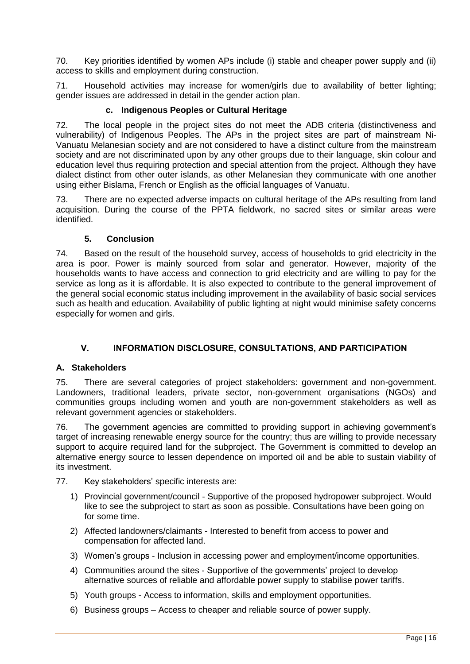70. Key priorities identified by women APs include (i) stable and cheaper power supply and (ii) access to skills and employment during construction.

71. Household activities may increase for women/girls due to availability of better lighting; gender issues are addressed in detail in the gender action plan.

# **c. Indigenous Peoples or Cultural Heritage**

72. The local people in the project sites do not meet the ADB criteria (distinctiveness and vulnerability) of Indigenous Peoples. The APs in the project sites are part of mainstream Ni-Vanuatu Melanesian society and are not considered to have a distinct culture from the mainstream society and are not discriminated upon by any other groups due to their language, skin colour and education level thus requiring protection and special attention from the project. Although they have dialect distinct from other outer islands, as other Melanesian they communicate with one another using either Bislama, French or English as the official languages of Vanuatu.

73. There are no expected adverse impacts on cultural heritage of the APs resulting from land acquisition. During the course of the PPTA fieldwork, no sacred sites or similar areas were identified.

# **5. Conclusion**

74. Based on the result of the household survey, access of households to grid electricity in the area is poor. Power is mainly sourced from solar and generator. However, majority of the households wants to have access and connection to grid electricity and are willing to pay for the service as long as it is affordable. It is also expected to contribute to the general improvement of the general social economic status including improvement in the availability of basic social services such as health and education. Availability of public lighting at night would minimise safety concerns especially for women and girls.

# **V. INFORMATION DISCLOSURE, CONSULTATIONS, AND PARTICIPATION**

# <span id="page-16-1"></span><span id="page-16-0"></span>**A. Stakeholders**

75. There are several categories of project stakeholders: government and non-government. Landowners, traditional leaders, private sector, non-government organisations (NGOs) and communities groups including women and youth are non-government stakeholders as well as relevant government agencies or stakeholders.

76. The government agencies are committed to providing support in achieving government's target of increasing renewable energy source for the country; thus are willing to provide necessary support to acquire required land for the subproject. The Government is committed to develop an alternative energy source to lessen dependence on imported oil and be able to sustain viability of its investment.

#### 77. Key stakeholders' specific interests are:

- 1) Provincial government/council Supportive of the proposed hydropower subproject. Would like to see the subproject to start as soon as possible. Consultations have been going on for some time.
- 2) Affected landowners/claimants Interested to benefit from access to power and compensation for affected land.
- 3) Women's groups Inclusion in accessing power and employment/income opportunities.
- 4) Communities around the sites Supportive of the governments' project to develop alternative sources of reliable and affordable power supply to stabilise power tariffs.
- 5) Youth groups Access to information, skills and employment opportunities.
- 6) Business groups Access to cheaper and reliable source of power supply.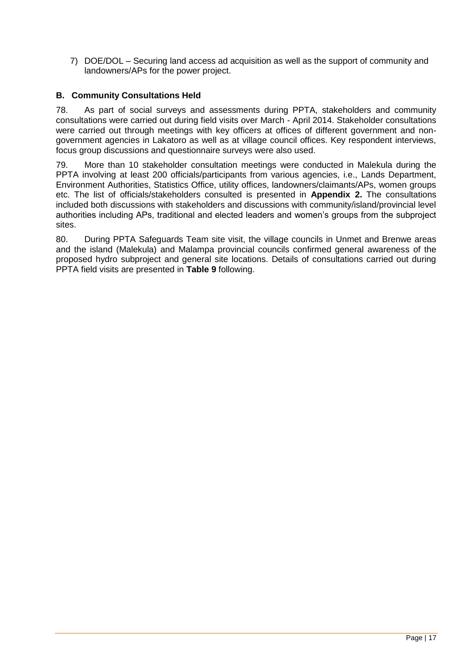7) DOE/DOL – Securing land access ad acquisition as well as the support of community and landowners/APs for the power project.

# <span id="page-17-0"></span>**B. Community Consultations Held**

78. As part of social surveys and assessments during PPTA, stakeholders and community consultations were carried out during field visits over March - April 2014. Stakeholder consultations were carried out through meetings with key officers at offices of different government and nongovernment agencies in Lakatoro as well as at village council offices. Key respondent interviews, focus group discussions and questionnaire surveys were also used.

79. More than 10 stakeholder consultation meetings were conducted in Malekula during the PPTA involving at least 200 officials/participants from various agencies, i.e., Lands Department, Environment Authorities, Statistics Office, utility offices, landowners/claimants/APs, women groups etc. The list of officials/stakeholders consulted is presented in **Appendix 2.** The consultations included both discussions with stakeholders and discussions with community/island/provincial level authorities including APs, traditional and elected leaders and women's groups from the subproject sites.

80. During PPTA Safeguards Team site visit, the village councils in Unmet and Brenwe areas and the island (Malekula) and Malampa provincial councils confirmed general awareness of the proposed hydro subproject and general site locations. Details of consultations carried out during PPTA field visits are presented in **Table 9** following.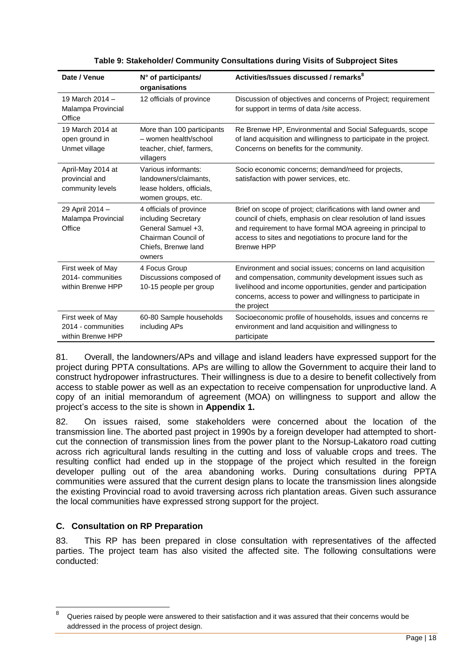| Date / Venue                                                 | N° of participants/<br>organisations                                                                                         | Activities/Issues discussed / remarks <sup>8</sup>                                                                                                                                                                                                                              |
|--------------------------------------------------------------|------------------------------------------------------------------------------------------------------------------------------|---------------------------------------------------------------------------------------------------------------------------------------------------------------------------------------------------------------------------------------------------------------------------------|
| 19 March 2014 -<br>Malampa Provincial<br>Office              | 12 officials of province                                                                                                     | Discussion of objectives and concerns of Project; requirement<br>for support in terms of data /site access.                                                                                                                                                                     |
| 19 March 2014 at<br>open ground in<br>Unmet village          | More than 100 participants<br>- women health/school<br>teacher, chief, farmers,<br>villagers                                 | Re Brenwe HP, Environmental and Social Safeguards, scope<br>of land acquisition and willingness to participate in the project.<br>Concerns on benefits for the community.                                                                                                       |
| April-May 2014 at<br>provincial and<br>community levels      | Various informants:<br>landowners/claimants,<br>lease holders, officials,<br>women groups, etc.                              | Socio economic concerns; demand/need for projects,<br>satisfaction with power services, etc.                                                                                                                                                                                    |
| 29 April 2014 -<br>Malampa Provincial<br>Office              | 4 officials of province<br>including Secretary<br>General Samuel +3,<br>Chairman Council of<br>Chiefs, Brenwe land<br>owners | Brief on scope of project; clarifications with land owner and<br>council of chiefs, emphasis on clear resolution of land issues<br>and requirement to have formal MOA agreeing in principal to<br>access to sites and negotiations to procure land for the<br><b>Brenwe HPP</b> |
| First week of May<br>2014- communities<br>within Brenwe HPP  | 4 Focus Group<br>Discussions composed of<br>10-15 people per group                                                           | Environment and social issues; concerns on land acquisition<br>and compensation, community development issues such as<br>livelihood and income opportunities, gender and participation<br>concerns, access to power and willingness to participate in<br>the project            |
| First week of May<br>2014 - communities<br>within Brenwe HPP | 60-80 Sample households<br>including APs                                                                                     | Socioeconomic profile of households, issues and concerns re<br>environment and land acquisition and willingness to<br>participate                                                                                                                                               |

|  |  |  | Table 9: Stakeholder/ Community Consultations during Visits of Subproject Sites |  |
|--|--|--|---------------------------------------------------------------------------------|--|
|--|--|--|---------------------------------------------------------------------------------|--|

81. Overall, the landowners/APs and village and island leaders have expressed support for the project during PPTA consultations. APs are willing to allow the Government to acquire their land to construct hydropower infrastructures. Their willingness is due to a desire to benefit collectively from access to stable power as well as an expectation to receive compensation for unproductive land. A copy of an initial memorandum of agreement (MOA) on willingness to support and allow the project's access to the site is shown in **Appendix 1.**

82. On issues raised, some stakeholders were concerned about the location of the transmission line. The aborted past project in 1990s by a foreign developer had attempted to shortcut the connection of transmission lines from the power plant to the Norsup-Lakatoro road cutting across rich agricultural lands resulting in the cutting and loss of valuable crops and trees. The resulting conflict had ended up in the stoppage of the project which resulted in the foreign developer pulling out of the area abandoning works. During consultations during PPTA communities were assured that the current design plans to locate the transmission lines alongside the existing Provincial road to avoid traversing across rich plantation areas. Given such assurance the local communities have expressed strong support for the project.

# <span id="page-18-0"></span>**C. Consultation on RP Preparation**

 $\overline{a}$ 

83. This RP has been prepared in close consultation with representatives of the affected parties. The project team has also visited the affected site. The following consultations were conducted:

Queries raised by people were answered to their satisfaction and it was assured that their concerns would be addressed in the process of project design.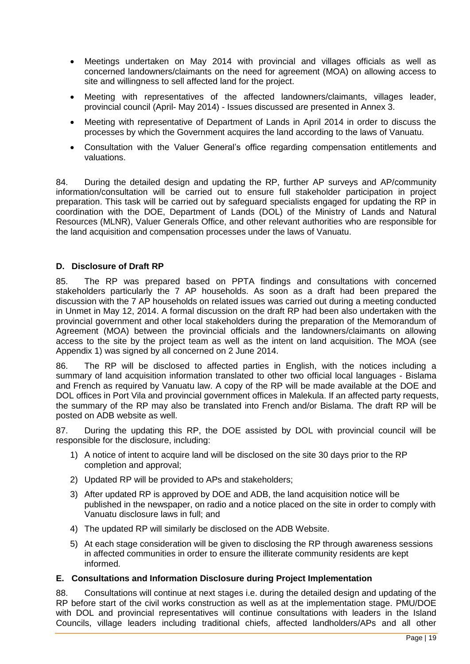- Meetings undertaken on May 2014 with provincial and villages officials as well as concerned landowners/claimants on the need for agreement (MOA) on allowing access to site and willingness to sell affected land for the project.
- Meeting with representatives of the affected landowners/claimants, villages leader, provincial council (April- May 2014) - Issues discussed are presented in Annex 3.
- Meeting with representative of Department of Lands in April 2014 in order to discuss the processes by which the Government acquires the land according to the laws of Vanuatu.
- Consultation with the Valuer General's office regarding compensation entitlements and valuations.

84. During the detailed design and updating the RP, further AP surveys and AP/community information/consultation will be carried out to ensure full stakeholder participation in project preparation. This task will be carried out by safeguard specialists engaged for updating the RP in coordination with the DOE, Department of Lands (DOL) of the Ministry of Lands and Natural Resources (MLNR), Valuer Generals Office, and other relevant authorities who are responsible for the land acquisition and compensation processes under the laws of Vanuatu.

# <span id="page-19-0"></span>**D. Disclosure of Draft RP**

85. The RP was prepared based on PPTA findings and consultations with concerned stakeholders particularly the 7 AP households. As soon as a draft had been prepared the discussion with the 7 AP households on related issues was carried out during a meeting conducted in Unmet in May 12, 2014. A formal discussion on the draft RP had been also undertaken with the provincial government and other local stakeholders during the preparation of the Memorandum of Agreement (MOA) between the provincial officials and the landowners/claimants on allowing access to the site by the project team as well as the intent on land acquisition. The MOA (see Appendix 1) was signed by all concerned on 2 June 2014.

86. The RP will be disclosed to affected parties in English, with the notices including a summary of land acquisition information translated to other two official local languages - Bislama and French as required by Vanuatu law. A copy of the RP will be made available at the DOE and DOL offices in Port Vila and provincial government offices in Malekula. If an affected party requests, the summary of the RP may also be translated into French and/or Bislama. The draft RP will be posted on ADB website as well.

87. During the updating this RP, the DOE assisted by DOL with provincial council will be responsible for the disclosure, including:

- 1) A notice of intent to acquire land will be disclosed on the site 30 days prior to the RP completion and approval;
- 2) Updated RP will be provided to APs and stakeholders;
- 3) After updated RP is approved by DOE and ADB, the land acquisition notice will be published in the newspaper, on radio and a notice placed on the site in order to comply with Vanuatu disclosure laws in full; and
- 4) The updated RP will similarly be disclosed on the ADB Website.
- 5) At each stage consideration will be given to disclosing the RP through awareness sessions in affected communities in order to ensure the illiterate community residents are kept informed.

#### <span id="page-19-1"></span>**E. Consultations and Information Disclosure during Project Implementation**

88. Consultations will continue at next stages i.e. during the detailed design and updating of the RP before start of the civil works construction as well as at the implementation stage. PMU/DOE with DOL and provincial representatives will continue consultations with leaders in the Island Councils, village leaders including traditional chiefs, affected landholders/APs and all other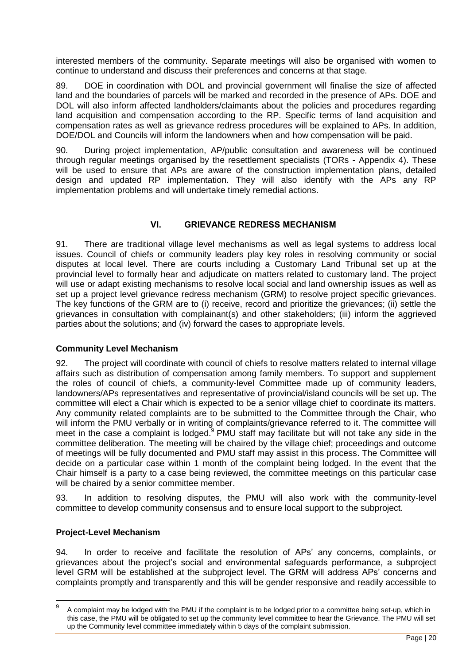interested members of the community. Separate meetings will also be organised with women to continue to understand and discuss their preferences and concerns at that stage.

89. DOE in coordination with DOL and provincial government will finalise the size of affected land and the boundaries of parcels will be marked and recorded in the presence of APs. DOE and DOL will also inform affected landholders/claimants about the policies and procedures regarding land acquisition and compensation according to the RP. Specific terms of land acquisition and compensation rates as well as grievance redress procedures will be explained to APs. In addition, DOE/DOL and Councils will inform the landowners when and how compensation will be paid.

90. During project implementation, AP/public consultation and awareness will be continued through regular meetings organised by the resettlement specialists (TORs - Appendix 4). These will be used to ensure that APs are aware of the construction implementation plans, detailed design and updated RP implementation. They will also identify with the APs any RP implementation problems and will undertake timely remedial actions.

# **VI. GRIEVANCE REDRESS MECHANISM**

<span id="page-20-0"></span>91. There are traditional village level mechanisms as well as legal systems to address local issues. Council of chiefs or community leaders play key roles in resolving community or social disputes at local level. There are courts including a Customary Land Tribunal set up at the provincial level to formally hear and adjudicate on matters related to customary land. The project will use or adapt existing mechanisms to resolve local social and land ownership issues as well as set up a project level grievance redress mechanism (GRM) to resolve project specific grievances. The key functions of the GRM are to (i) receive, record and prioritize the grievances; (ii) settle the grievances in consultation with complainant(s) and other stakeholders; (iii) inform the aggrieved parties about the solutions; and (iv) forward the cases to appropriate levels.

#### **Community Level Mechanism**

92. The project will coordinate with council of chiefs to resolve matters related to internal village affairs such as distribution of compensation among family members. To support and supplement the roles of council of chiefs, a community-level Committee made up of community leaders, landowners/APs representatives and representative of provincial/island councils will be set up. The committee will elect a Chair which is expected to be a senior village chief to coordinate its matters. Any community related complaints are to be submitted to the Committee through the Chair, who will inform the PMU verbally or in writing of complaints/grievance referred to it. The committee will meet in the case a complaint is lodged.<sup>9</sup> PMU staff may facilitate but will not take any side in the committee deliberation. The meeting will be chaired by the village chief; proceedings and outcome of meetings will be fully documented and PMU staff may assist in this process. The Committee will decide on a particular case within 1 month of the complaint being lodged. In the event that the Chair himself is a party to a case being reviewed, the committee meetings on this particular case will be chaired by a senior committee member.

93. In addition to resolving disputes, the PMU will also work with the community-level committee to develop community consensus and to ensure local support to the subproject.

#### **Project-Level Mechanism**

 $\overline{a}$ 

94. In order to receive and facilitate the resolution of APs' any concerns, complaints, or grievances about the project's social and environmental safeguards performance, a subproject level GRM will be established at the subproject level. The GRM will address APs' concerns and complaints promptly and transparently and this will be gender responsive and readily accessible to

<sup>9</sup> A complaint may be lodged with the PMU if the complaint is to be lodged prior to a committee being set-up, which in this case, the PMU will be obligated to set up the community level committee to hear the Grievance. The PMU will set up the Community level committee immediately within 5 days of the complaint submission.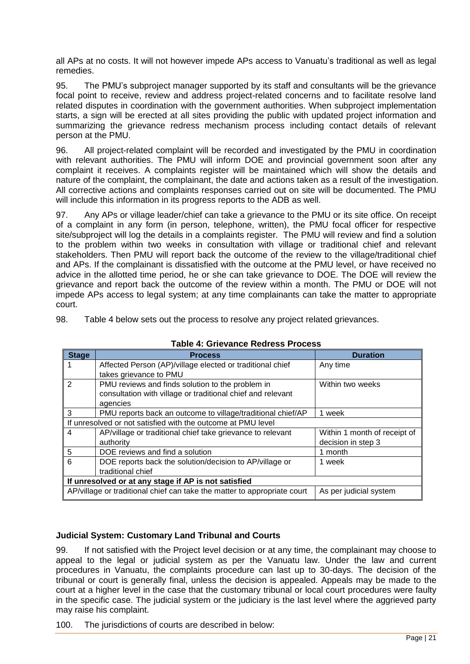all APs at no costs. It will not however impede APs access to Vanuatu's traditional as well as legal remedies.

95. The PMU's subproject manager supported by its staff and consultants will be the grievance focal point to receive, review and address project-related concerns and to facilitate resolve land related disputes in coordination with the government authorities. When subproject implementation starts, a sign will be erected at all sites providing the public with updated project information and summarizing the grievance redress mechanism process including contact details of relevant person at the PMU.

96. All project-related complaint will be recorded and investigated by the PMU in coordination with relevant authorities. The PMU will inform DOE and provincial government soon after any complaint it receives. A complaints register will be maintained which will show the details and nature of the complaint, the complainant, the date and actions taken as a result of the investigation. All corrective actions and complaints responses carried out on site will be documented. The PMU will include this information in its progress reports to the ADB as well.

97. Any APs or village leader/chief can take a grievance to the PMU or its site office. On receipt of a complaint in any form (in person, telephone, written), the PMU focal officer for respective site/subproject will log the details in a complaints register. The PMU will review and find a solution to the problem within two weeks in consultation with village or traditional chief and relevant stakeholders. Then PMU will report back the outcome of the review to the village/traditional chief and APs. If the complainant is dissatisfied with the outcome at the PMU level, or have received no advice in the allotted time period, he or she can take grievance to DOE. The DOE will review the grievance and report back the outcome of the review within a month. The PMU or DOE will not impede APs access to legal system; at any time complainants can take the matter to appropriate court.

98. Table 4 below sets out the process to resolve any project related grievances.

| <b>Stage</b>                                         | <b>Process</b>                                                           | <b>Duration</b>              |  |
|------------------------------------------------------|--------------------------------------------------------------------------|------------------------------|--|
|                                                      | Affected Person (AP)/village elected or traditional chief                | Any time                     |  |
|                                                      | takes grievance to PMU                                                   |                              |  |
| $\mathcal{P}$                                        | PMU reviews and finds solution to the problem in                         | Within two weeks             |  |
|                                                      | consultation with village or traditional chief and relevant              |                              |  |
|                                                      | agencies                                                                 |                              |  |
| 3                                                    | PMU reports back an outcome to village/traditional chief/AP              | 1 week                       |  |
|                                                      | If unresolved or not satisfied with the outcome at PMU level             |                              |  |
| 4                                                    | AP/village or traditional chief take grievance to relevant               | Within 1 month of receipt of |  |
|                                                      | authority                                                                | decision in step 3           |  |
| 5                                                    | DOE reviews and find a solution                                          | 1 month                      |  |
| 6                                                    | DOE reports back the solution/decision to AP/village or                  | 1 week                       |  |
|                                                      | traditional chief                                                        |                              |  |
| If unresolved or at any stage if AP is not satisfied |                                                                          |                              |  |
|                                                      | AP/village or traditional chief can take the matter to appropriate court | As per judicial system       |  |

**Table 4: Grievance Redress Process**

# **Judicial System: Customary Land Tribunal and Courts**

99. If not satisfied with the Project level decision or at any time, the complainant may choose to appeal to the legal or judicial system as per the Vanuatu law. Under the law and current procedures in Vanuatu, the complaints procedure can last up to 30-days. The decision of the tribunal or court is generally final, unless the decision is appealed. Appeals may be made to the court at a higher level in the case that the customary tribunal or local court procedures were faulty in the specific case. The judicial system or the judiciary is the last level where the aggrieved party may raise his complaint.

100. The jurisdictions of courts are described in below: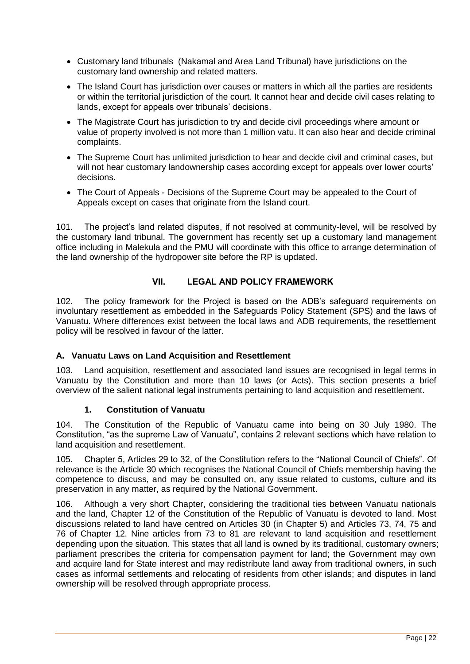- Customary land tribunals (Nakamal and Area Land Tribunal) have jurisdictions on the customary land ownership and related matters.
- The Island Court has jurisdiction over causes or matters in which all the parties are residents or within the territorial jurisdiction of the court. It cannot hear and decide civil cases relating to lands, except for appeals over tribunals' decisions.
- The Magistrate Court has jurisdiction to try and decide civil proceedings where amount or value of property involved is not more than 1 million vatu. It can also hear and decide criminal complaints.
- The Supreme Court has unlimited jurisdiction to hear and decide civil and criminal cases, but will not hear customary landownership cases according except for appeals over lower courts' decisions.
- The Court of Appeals Decisions of the Supreme Court may be appealed to the Court of Appeals except on cases that originate from the Island court.

101. The project's land related disputes, if not resolved at community-level, will be resolved by the customary land tribunal. The government has recently set up a customary land management office including in Malekula and the PMU will coordinate with this office to arrange determination of the land ownership of the hydropower site before the RP is updated.

# **VII. LEGAL AND POLICY FRAMEWORK**

<span id="page-22-0"></span>102. The policy framework for the Project is based on the ADB's safeguard requirements on involuntary resettlement as embedded in the Safeguards Policy Statement (SPS) and the laws of Vanuatu. Where differences exist between the local laws and ADB requirements, the resettlement policy will be resolved in favour of the latter.

# <span id="page-22-1"></span>**A. Vanuatu Laws on Land Acquisition and Resettlement**

103. Land acquisition, resettlement and associated land issues are recognised in legal terms in Vanuatu by the Constitution and more than 10 laws (or Acts). This section presents a brief overview of the salient national legal instruments pertaining to land acquisition and resettlement.

#### **1. Constitution of Vanuatu**

104. The Constitution of the Republic of Vanuatu came into being on 30 July 1980. The Constitution, "as the supreme Law of Vanuatu", contains 2 relevant sections which have relation to land acquisition and resettlement.

105. Chapter 5, Articles 29 to 32, of the Constitution refers to the "National Council of Chiefs". Of relevance is the Article 30 which recognises the National Council of Chiefs membership having the competence to discuss, and may be consulted on, any issue related to customs, culture and its preservation in any matter, as required by the National Government.

106. Although a very short Chapter, considering the traditional ties between Vanuatu nationals and the land, Chapter 12 of the Constitution of the Republic of Vanuatu is devoted to land. Most discussions related to land have centred on Articles 30 (in Chapter 5) and Articles 73, 74, 75 and 76 of Chapter 12. Nine articles from 73 to 81 are relevant to land acquisition and resettlement depending upon the situation. This states that all land is owned by its traditional, customary owners; parliament prescribes the criteria for compensation payment for land; the Government may own and acquire land for State interest and may redistribute land away from traditional owners, in such cases as informal settlements and relocating of residents from other islands; and disputes in land ownership will be resolved through appropriate process.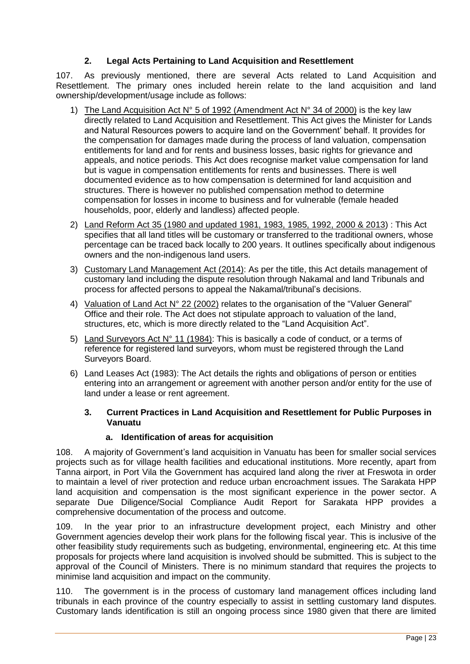# **2. Legal Acts Pertaining to Land Acquisition and Resettlement**

107. As previously mentioned, there are several Acts related to Land Acquisition and Resettlement. The primary ones included herein relate to the land acquisition and land ownership/development/usage include as follows:

- 1) The Land Acquisition Act N° 5 of 1992 (Amendment Act N° 34 of 2000) is the key law directly related to Land Acquisition and Resettlement. This Act gives the Minister for Lands and Natural Resources powers to acquire land on the Government' behalf. It provides for the compensation for damages made during the process of land valuation, compensation entitlements for land and for rents and business losses, basic rights for grievance and appeals, and notice periods. This Act does recognise market value compensation for land but is vague in compensation entitlements for rents and businesses. There is well documented evidence as to how compensation is determined for land acquisition and structures. There is however no published compensation method to determine compensation for losses in income to business and for vulnerable (female headed households, poor, elderly and landless) affected people.
- 2) Land Reform Act 35 (1980 and updated 1981, 1983, 1985, 1992, 2000 & 2013) : This Act specifies that all land titles will be customary or transferred to the traditional owners, whose percentage can be traced back locally to 200 years. It outlines specifically about indigenous owners and the non-indigenous land users.
- 3) Customary Land Management Act (2014): As per the title, this Act details management of customary land including the dispute resolution through Nakamal and land Tribunals and process for affected persons to appeal the Nakamal/tribunal's decisions.
- 4) Valuation of Land Act N° 22 (2002) relates to the organisation of the "Valuer General" Office and their role. The Act does not stipulate approach to valuation of the land, structures, etc, which is more directly related to the "Land Acquisition Act".
- 5) Land Surveyors Act  $N^{\circ}$  11 (1984): This is basically a code of conduct, or a terms of reference for registered land surveyors, whom must be registered through the Land Surveyors Board.
- 6) Land Leases Act (1983): The Act details the rights and obligations of person or entities entering into an arrangement or agreement with another person and/or entity for the use of land under a lease or rent agreement.

# **3. Current Practices in Land Acquisition and Resettlement for Public Purposes in Vanuatu**

# **a. Identification of areas for acquisition**

108. A majority of Government's land acquisition in Vanuatu has been for smaller social services projects such as for village health facilities and educational institutions. More recently, apart from Tanna airport, in Port Vila the Government has acquired land along the river at Freswota in order to maintain a level of river protection and reduce urban encroachment issues. The Sarakata HPP land acquisition and compensation is the most significant experience in the power sector. A separate Due Diligence/Social Compliance Audit Report for Sarakata HPP provides a comprehensive documentation of the process and outcome.

109. In the year prior to an infrastructure development project, each Ministry and other Government agencies develop their work plans for the following fiscal year. This is inclusive of the other feasibility study requirements such as budgeting, environmental, engineering etc. At this time proposals for projects where land acquisition is involved should be submitted. This is subject to the approval of the Council of Ministers. There is no minimum standard that requires the projects to minimise land acquisition and impact on the community.

110. The government is in the process of customary land management offices including land tribunals in each province of the country especially to assist in settling customary land disputes. Customary lands identification is still an ongoing process since 1980 given that there are limited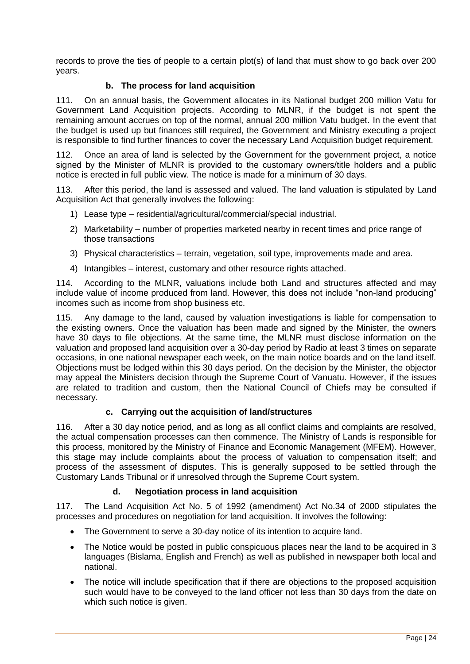records to prove the ties of people to a certain plot(s) of land that must show to go back over 200 years.

# **b. The process for land acquisition**

111. On an annual basis, the Government allocates in its National budget 200 million Vatu for Government Land Acquisition projects. According to MLNR, if the budget is not spent the remaining amount accrues on top of the normal, annual 200 million Vatu budget. In the event that the budget is used up but finances still required, the Government and Ministry executing a project is responsible to find further finances to cover the necessary Land Acquisition budget requirement.

112. Once an area of land is selected by the Government for the government project, a notice signed by the Minister of MLNR is provided to the customary owners/title holders and a public notice is erected in full public view. The notice is made for a minimum of 30 days.

113. After this period, the land is assessed and valued. The land valuation is stipulated by Land Acquisition Act that generally involves the following:

- 1) Lease type residential/agricultural/commercial/special industrial.
- 2) Marketability number of properties marketed nearby in recent times and price range of those transactions
- 3) Physical characteristics terrain, vegetation, soil type, improvements made and area.
- 4) Intangibles interest, customary and other resource rights attached.

114. According to the MLNR, valuations include both Land and structures affected and may include value of income produced from land. However, this does not include "non-land producing" incomes such as income from shop business etc.

115. Any damage to the land, caused by valuation investigations is liable for compensation to the existing owners. Once the valuation has been made and signed by the Minister, the owners have 30 days to file objections. At the same time, the MLNR must disclose information on the valuation and proposed land acquisition over a 30-day period by Radio at least 3 times on separate occasions, in one national newspaper each week, on the main notice boards and on the land itself. Objections must be lodged within this 30 days period. On the decision by the Minister, the objector may appeal the Ministers decision through the Supreme Court of Vanuatu. However, if the issues are related to tradition and custom, then the National Council of Chiefs may be consulted if necessary.

#### **c. Carrying out the acquisition of land/structures**

116. After a 30 day notice period, and as long as all conflict claims and complaints are resolved, the actual compensation processes can then commence. The Ministry of Lands is responsible for this process, monitored by the Ministry of Finance and Economic Management (MFEM). However, this stage may include complaints about the process of valuation to compensation itself; and process of the assessment of disputes. This is generally supposed to be settled through the Customary Lands Tribunal or if unresolved through the Supreme Court system.

# **d. Negotiation process in land acquisition**

117. The Land Acquisition Act No. 5 of 1992 (amendment) Act No.34 of 2000 stipulates the processes and procedures on negotiation for land acquisition. It involves the following:

- The Government to serve a 30-day notice of its intention to acquire land.
- The Notice would be posted in public conspicuous places near the land to be acquired in 3 languages (Bislama, English and French) as well as published in newspaper both local and national.
- The notice will include specification that if there are objections to the proposed acquisition such would have to be conveyed to the land officer not less than 30 days from the date on which such notice is given.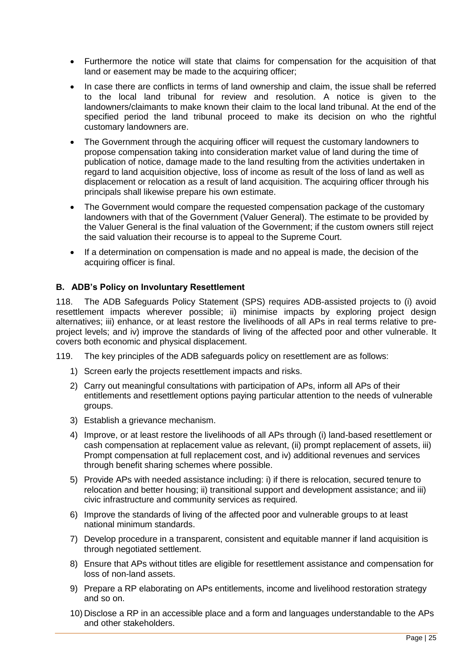- Furthermore the notice will state that claims for compensation for the acquisition of that land or easement may be made to the acquiring officer;
- In case there are conflicts in terms of land ownership and claim, the issue shall be referred to the local land tribunal for review and resolution. A notice is given to the landowners/claimants to make known their claim to the local land tribunal. At the end of the specified period the land tribunal proceed to make its decision on who the rightful customary landowners are.
- The Government through the acquiring officer will request the customary landowners to propose compensation taking into consideration market value of land during the time of publication of notice, damage made to the land resulting from the activities undertaken in regard to land acquisition objective, loss of income as result of the loss of land as well as displacement or relocation as a result of land acquisition. The acquiring officer through his principals shall likewise prepare his own estimate.
- The Government would compare the requested compensation package of the customary landowners with that of the Government (Valuer General). The estimate to be provided by the Valuer General is the final valuation of the Government; if the custom owners still reject the said valuation their recourse is to appeal to the Supreme Court.
- If a determination on compensation is made and no appeal is made, the decision of the acquiring officer is final.

# <span id="page-25-0"></span>**B. ADB's Policy on Involuntary Resettlement**

118. The ADB Safeguards Policy Statement (SPS) requires ADB-assisted projects to (i) avoid resettlement impacts wherever possible; ii) minimise impacts by exploring project design alternatives; iii) enhance, or at least restore the livelihoods of all APs in real terms relative to preproject levels; and iv) improve the standards of living of the affected poor and other vulnerable. It covers both economic and physical displacement.

- 119. The key principles of the ADB safeguards policy on resettlement are as follows:
	- 1) Screen early the projects resettlement impacts and risks.
	- 2) Carry out meaningful consultations with participation of APs, inform all APs of their entitlements and resettlement options paying particular attention to the needs of vulnerable groups.
	- 3) Establish a grievance mechanism.
	- 4) Improve, or at least restore the livelihoods of all APs through (i) land-based resettlement or cash compensation at replacement value as relevant, (ii) prompt replacement of assets, iii) Prompt compensation at full replacement cost, and iv) additional revenues and services through benefit sharing schemes where possible.
	- 5) Provide APs with needed assistance including: i) if there is relocation, secured tenure to relocation and better housing; ii) transitional support and development assistance; and iii) civic infrastructure and community services as required.
	- 6) Improve the standards of living of the affected poor and vulnerable groups to at least national minimum standards.
	- 7) Develop procedure in a transparent, consistent and equitable manner if land acquisition is through negotiated settlement.
	- 8) Ensure that APs without titles are eligible for resettlement assistance and compensation for loss of non-land assets.
	- 9) Prepare a RP elaborating on APs entitlements, income and livelihood restoration strategy and so on.
	- 10) Disclose a RP in an accessible place and a form and languages understandable to the APs and other stakeholders.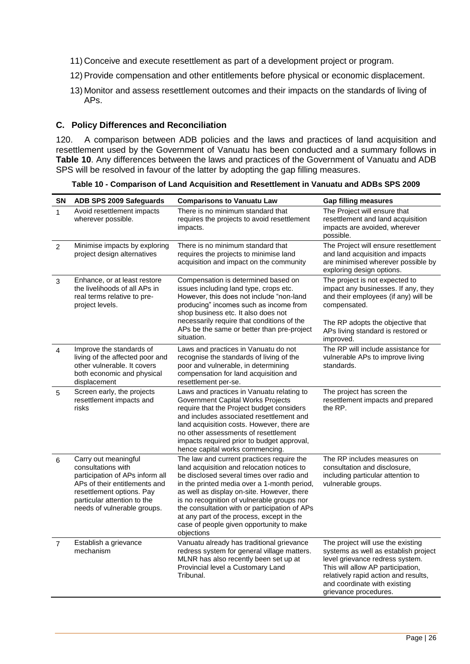- 11) Conceive and execute resettlement as part of a development project or program.
- 12) Provide compensation and other entitlements before physical or economic displacement.
- 13) Monitor and assess resettlement outcomes and their impacts on the standards of living of APs.

#### <span id="page-26-0"></span>**C. Policy Differences and Reconciliation**

120. A comparison between ADB policies and the laws and practices of land acquisition and resettlement used by the Government of Vanuatu has been conducted and a summary follows in **Table 10**. Any differences between the laws and practices of the Government of Vanuatu and ADB SPS will be resolved in favour of the latter by adopting the gap filling measures.

**Table 10 - Comparison of Land Acquisition and Resettlement in Vanuatu and ADBs SPS 2009**

| <b>SN</b>      | ADB SPS 2009 Safeguards                                                                                                                                                                                   | <b>Comparisons to Vanuatu Law</b>                                                                                                                                                                                                                                                                                                                                                                                                       | <b>Gap filling measures</b>                                                                                                                                                                                                                        |
|----------------|-----------------------------------------------------------------------------------------------------------------------------------------------------------------------------------------------------------|-----------------------------------------------------------------------------------------------------------------------------------------------------------------------------------------------------------------------------------------------------------------------------------------------------------------------------------------------------------------------------------------------------------------------------------------|----------------------------------------------------------------------------------------------------------------------------------------------------------------------------------------------------------------------------------------------------|
| $\mathbf{1}$   | Avoid resettlement impacts<br>wherever possible.                                                                                                                                                          | There is no minimum standard that<br>requires the projects to avoid resettlement<br>impacts.                                                                                                                                                                                                                                                                                                                                            | The Project will ensure that<br>resettlement and land acquisition<br>impacts are avoided, wherever<br>possible.                                                                                                                                    |
| 2              | Minimise impacts by exploring<br>project design alternatives                                                                                                                                              | There is no minimum standard that<br>requires the projects to minimise land<br>acquisition and impact on the community                                                                                                                                                                                                                                                                                                                  | The Project will ensure resettlement<br>and land acquisition and impacts<br>are minimised wherever possible by<br>exploring design options.                                                                                                        |
| 3              | Enhance, or at least restore<br>the livelihoods of all APs in<br>real terms relative to pre-<br>project levels.                                                                                           | Compensation is determined based on<br>issues including land type, crops etc.<br>However, this does not include "non-land<br>producing" incomes such as income from<br>shop business etc. It also does not<br>necessarily require that conditions of the                                                                                                                                                                                | The project is not expected to<br>impact any businesses. If any, they<br>and their employees (if any) will be<br>compensated.                                                                                                                      |
|                |                                                                                                                                                                                                           | APs be the same or better than pre-project<br>situation.                                                                                                                                                                                                                                                                                                                                                                                | The RP adopts the objective that<br>APs living standard is restored or<br>improved.                                                                                                                                                                |
| 4              | Improve the standards of<br>living of the affected poor and<br>other vulnerable. It covers<br>both economic and physical<br>displacement                                                                  | Laws and practices in Vanuatu do not<br>recognise the standards of living of the<br>poor and vulnerable, in determining<br>compensation for land acquisition and<br>resettlement per-se.                                                                                                                                                                                                                                                | The RP will include assistance for<br>vulnerable APs to improve living<br>standards.                                                                                                                                                               |
| 5              | Screen early, the projects<br>resettlement impacts and<br>risks                                                                                                                                           | Laws and practices in Vanuatu relating to<br><b>Government Capital Works Projects</b><br>require that the Project budget considers<br>and includes associated resettlement and<br>land acquisition costs. However, there are<br>no other assessments of resettlement<br>impacts required prior to budget approval,<br>hence capital works commencing.                                                                                   | The project has screen the<br>resettlement impacts and prepared<br>the RP.                                                                                                                                                                         |
| 6              | Carry out meaningful<br>consultations with<br>participation of APs inform all<br>APs of their entitlements and<br>resettlement options. Pay<br>particular attention to the<br>needs of vulnerable groups. | The law and current practices require the<br>land acquisition and relocation notices to<br>be disclosed several times over radio and<br>in the printed media over a 1-month period,<br>as well as display on-site. However, there<br>is no recognition of vulnerable groups nor<br>the consultation with or participation of APs<br>at any part of the process, except in the<br>case of people given opportunity to make<br>objections | The RP includes measures on<br>consultation and disclosure,<br>including particular attention to<br>vulnerable groups.                                                                                                                             |
| $\overline{7}$ | Establish a grievance<br>mechanism                                                                                                                                                                        | Vanuatu already has traditional grievance<br>redress system for general village matters.<br>MLNR has also recently been set up at<br>Provincial level a Customary Land<br>Tribunal.                                                                                                                                                                                                                                                     | The project will use the existing<br>systems as well as establish project<br>level grievance redress system.<br>This will allow AP participation,<br>relatively rapid action and results,<br>and coordinate with existing<br>grievance procedures. |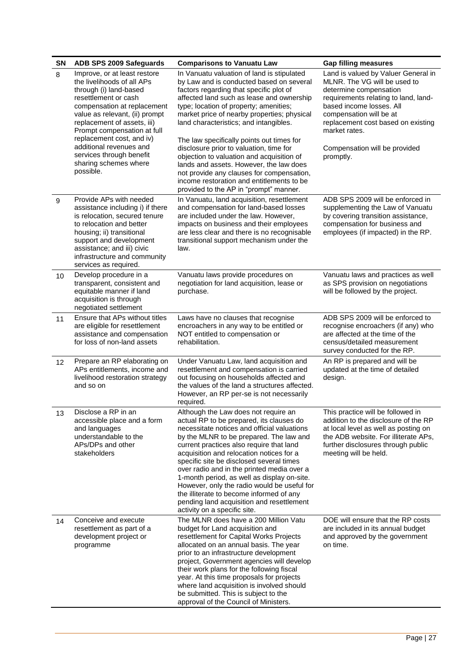| <b>SN</b> | ADB SPS 2009 Safeguards                                                                                                                                                                                                                                                  | <b>Comparisons to Vanuatu Law</b>                                                                                                                                                                                                                                                                                                                                                                                                                                                                                                                                                   | <b>Gap filling measures</b>                                                                                                                                                                                                                         |
|-----------|--------------------------------------------------------------------------------------------------------------------------------------------------------------------------------------------------------------------------------------------------------------------------|-------------------------------------------------------------------------------------------------------------------------------------------------------------------------------------------------------------------------------------------------------------------------------------------------------------------------------------------------------------------------------------------------------------------------------------------------------------------------------------------------------------------------------------------------------------------------------------|-----------------------------------------------------------------------------------------------------------------------------------------------------------------------------------------------------------------------------------------------------|
| 8         | Improve, or at least restore<br>the livelihoods of all APs<br>through (i) land-based<br>resettlement or cash<br>compensation at replacement<br>value as relevant, (ii) prompt<br>replacement of assets, iii)<br>Prompt compensation at full<br>replacement cost, and iv) | In Vanuatu valuation of land is stipulated<br>by Law and is conducted based on several<br>factors regarding that specific plot of<br>affected land such as lease and ownership<br>type; location of property; amenities;<br>market price of nearby properties; physical<br>land characteristics; and intangibles.<br>The law specifically points out times for                                                                                                                                                                                                                      | Land is valued by Valuer General in<br>MLNR. The VG will be used to<br>determine compensation<br>requirements relating to land, land-<br>based income losses. All<br>compensation will be at<br>replacement cost based on existing<br>market rates. |
|           | additional revenues and<br>services through benefit<br>sharing schemes where<br>possible.                                                                                                                                                                                | disclosure prior to valuation, time for<br>objection to valuation and acquisition of<br>lands and assets. However, the law does<br>not provide any clauses for compensation,<br>income restoration and entitlements to be<br>provided to the AP in "prompt" manner.                                                                                                                                                                                                                                                                                                                 | Compensation will be provided<br>promptly.                                                                                                                                                                                                          |
| 9         | Provide APs with needed<br>assistance including i) if there<br>is relocation, secured tenure<br>to relocation and better<br>housing; ii) transitional<br>support and development<br>assistance; and iii) civic<br>infrastructure and community<br>services as required.  | In Vanuatu, land acquisition, resettlement<br>and compensation for land-based losses<br>are included under the law. However,<br>impacts on business and their employees<br>are less clear and there is no recognisable<br>transitional support mechanism under the<br>law.                                                                                                                                                                                                                                                                                                          | ADB SPS 2009 will be enforced in<br>supplementing the Law of Vanuatu<br>by covering transition assistance,<br>compensation for business and<br>employees (if impacted) in the RP.                                                                   |
| 10        | Develop procedure in a<br>transparent, consistent and<br>equitable manner if land<br>acquisition is through<br>negotiated settlement                                                                                                                                     | Vanuatu laws provide procedures on<br>negotiation for land acquisition, lease or<br>purchase.                                                                                                                                                                                                                                                                                                                                                                                                                                                                                       | Vanuatu laws and practices as well<br>as SPS provision on negotiations<br>will be followed by the project.                                                                                                                                          |
| 11        | Ensure that APs without titles<br>are eligible for resettlement<br>assistance and compensation<br>for loss of non-land assets                                                                                                                                            | Laws have no clauses that recognise<br>encroachers in any way to be entitled or<br>NOT entitled to compensation or<br>rehabilitation.                                                                                                                                                                                                                                                                                                                                                                                                                                               | ADB SPS 2009 will be enforced to<br>recognise encroachers (if any) who<br>are affected at the time of the<br>census/detailed measurement<br>survey conducted for the RP.                                                                            |
| 12        | Prepare an RP elaborating on<br>APs entitlements, income and<br>livelihood restoration strategy<br>and so on                                                                                                                                                             | Under Vanuatu Law, land acquisition and<br>resettlement and compensation is carried<br>out focusing on households affected and<br>the values of the land a structures affected.<br>However, an RP per-se is not necessarily<br>required.                                                                                                                                                                                                                                                                                                                                            | An RP is prepared and will be<br>updated at the time of detailed<br>design.                                                                                                                                                                         |
| 13        | Disclose a RP in an<br>accessible place and a form<br>and languages<br>understandable to the<br>APs/DPs and other<br>stakeholders                                                                                                                                        | Although the Law does not require an<br>actual RP to be prepared, its clauses do<br>necessitate notices and official valuations<br>by the MLNR to be prepared. The law and<br>current practices also require that land<br>acquisition and relocation notices for a<br>specific site be disclosed several times<br>over radio and in the printed media over a<br>1-month period, as well as display on-site.<br>However, only the radio would be useful for<br>the illiterate to become informed of any<br>pending land acquisition and resettlement<br>activity on a specific site. | This practice will be followed in<br>addition to the disclosure of the RP<br>at local level as well as posting on<br>the ADB website. For illiterate APs,<br>further disclosures through public<br>meeting will be held.                            |
| 14        | Conceive and execute<br>resettlement as part of a<br>development project or<br>programme                                                                                                                                                                                 | The MLNR does have a 200 Million Vatu<br>budget for Land acquisition and<br>resettlement for Capital Works Projects<br>allocated on an annual basis. The year<br>prior to an infrastructure development<br>project, Government agencies will develop<br>their work plans for the following fiscal<br>year. At this time proposals for projects<br>where land acquisition is involved should<br>be submitted. This is subject to the<br>approval of the Council of Ministers.                                                                                                        | DOE will ensure that the RP costs<br>are included in its annual budget<br>and approved by the government<br>on time.                                                                                                                                |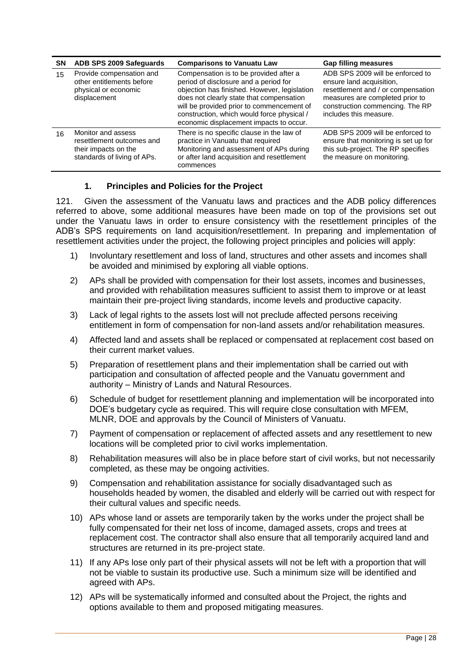| <b>SN</b> | ADB SPS 2009 Safeguards                                                                                | <b>Comparisons to Vanuatu Law</b>                                                                                                                                                                                                                                                                                 | <b>Gap filling measures</b>                                                                                                                                                                        |
|-----------|--------------------------------------------------------------------------------------------------------|-------------------------------------------------------------------------------------------------------------------------------------------------------------------------------------------------------------------------------------------------------------------------------------------------------------------|----------------------------------------------------------------------------------------------------------------------------------------------------------------------------------------------------|
| 15        | Provide compensation and<br>other entitlements before<br>physical or economic<br>displacement          | Compensation is to be provided after a<br>period of disclosure and a period for<br>objection has finished. However, legislation<br>does not clearly state that compensation<br>will be provided prior to commencement of<br>construction, which would force physical /<br>economic displacement impacts to occur. | ADB SPS 2009 will be enforced to<br>ensure land acquisition,<br>resettlement and / or compensation<br>measures are completed prior to<br>construction commencing. The RP<br>includes this measure. |
| 16        | Monitor and assess<br>resettlement outcomes and<br>their impacts on the<br>standards of living of APs. | There is no specific clause in the law of<br>practice in Vanuatu that required<br>Monitoring and assessment of APs during<br>or after land acquisition and resettlement<br>commences                                                                                                                              | ADB SPS 2009 will be enforced to<br>ensure that monitoring is set up for<br>this sub-project. The RP specifies<br>the measure on monitoring.                                                       |

# **1. Principles and Policies for the Project**

121. Given the assessment of the Vanuatu laws and practices and the ADB policy differences referred to above, some additional measures have been made on top of the provisions set out under the Vanuatu laws in order to ensure consistency with the resettlement principles of the ADB's SPS requirements on land acquisition/resettlement. In preparing and implementation of resettlement activities under the project, the following project principles and policies will apply:

- 1) Involuntary resettlement and loss of land, structures and other assets and incomes shall be avoided and minimised by exploring all viable options.
- 2) APs shall be provided with compensation for their lost assets, incomes and businesses, and provided with rehabilitation measures sufficient to assist them to improve or at least maintain their pre-project living standards, income levels and productive capacity.
- 3) Lack of legal rights to the assets lost will not preclude affected persons receiving entitlement in form of compensation for non-land assets and/or rehabilitation measures.
- 4) Affected land and assets shall be replaced or compensated at replacement cost based on their current market values.
- 5) Preparation of resettlement plans and their implementation shall be carried out with participation and consultation of affected people and the Vanuatu government and authority – Ministry of Lands and Natural Resources.
- 6) Schedule of budget for resettlement planning and implementation will be incorporated into DOE's budgetary cycle as required. This will require close consultation with MFEM, MLNR, DOE and approvals by the Council of Ministers of Vanuatu.
- 7) Payment of compensation or replacement of affected assets and any resettlement to new locations will be completed prior to civil works implementation.
- 8) Rehabilitation measures will also be in place before start of civil works, but not necessarily completed, as these may be ongoing activities.
- 9) Compensation and rehabilitation assistance for socially disadvantaged such as households headed by women, the disabled and elderly will be carried out with respect for their cultural values and specific needs.
- 10) APs whose land or assets are temporarily taken by the works under the project shall be fully compensated for their net loss of income, damaged assets, crops and trees at replacement cost. The contractor shall also ensure that all temporarily acquired land and structures are returned in its pre-project state.
- 11) If any APs lose only part of their physical assets will not be left with a proportion that will not be viable to sustain its productive use. Such a minimum size will be identified and agreed with APs.
- 12) APs will be systematically informed and consulted about the Project, the rights and options available to them and proposed mitigating measures.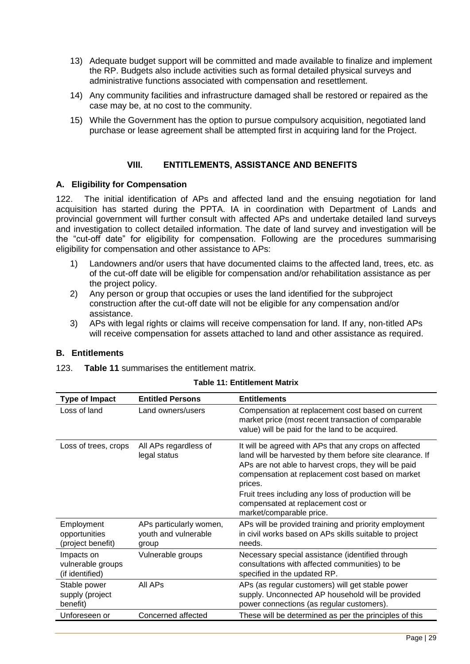- 13) Adequate budget support will be committed and made available to finalize and implement the RP. Budgets also include activities such as formal detailed physical surveys and administrative functions associated with compensation and resettlement.
- 14) Any community facilities and infrastructure damaged shall be restored or repaired as the case may be, at no cost to the community.
- 15) While the Government has the option to pursue compulsory acquisition, negotiated land purchase or lease agreement shall be attempted first in acquiring land for the Project.

#### **VIII. ENTITLEMENTS, ASSISTANCE AND BENEFITS**

#### <span id="page-29-1"></span><span id="page-29-0"></span>**A. Eligibility for Compensation**

122. The initial identification of APs and affected land and the ensuing negotiation for land acquisition has started during the PPTA. IA in coordination with Department of Lands and provincial government will further consult with affected APs and undertake detailed land surveys and investigation to collect detailed information. The date of land survey and investigation will be the "cut-off date" for eligibility for compensation. Following are the procedures summarising eligibility for compensation and other assistance to APs:

- 1) Landowners and/or users that have documented claims to the affected land, trees, etc. as of the cut-off date will be eligible for compensation and/or rehabilitation assistance as per the project policy.
- 2) Any person or group that occupies or uses the land identified for the subproject construction after the cut-off date will not be eligible for any compensation and/or assistance.
- 3) APs with legal rights or claims will receive compensation for land. If any, non-titled APs will receive compensation for assets attached to land and other assistance as required.

#### <span id="page-29-2"></span>**B. Entitlements**

123. **Table 11** summarises the entitlement matrix.

| <b>Type of Impact</b>                              | <b>Entitled Persons</b>                                  | <b>Entitlements</b>                                                                                                                                                                                                                                                                                                                                                |
|----------------------------------------------------|----------------------------------------------------------|--------------------------------------------------------------------------------------------------------------------------------------------------------------------------------------------------------------------------------------------------------------------------------------------------------------------------------------------------------------------|
| Loss of land                                       | Land owners/users                                        | Compensation at replacement cost based on current<br>market price (most recent transaction of comparable<br>value) will be paid for the land to be acquired.                                                                                                                                                                                                       |
| Loss of trees, crops                               | All APs regardless of<br>legal status                    | It will be agreed with APs that any crops on affected<br>land will be harvested by them before site clearance. If<br>APs are not able to harvest crops, they will be paid<br>compensation at replacement cost based on market<br>prices.<br>Fruit trees including any loss of production will be<br>compensated at replacement cost or<br>market/comparable price. |
| Employment<br>opportunities<br>(project benefit)   | APs particularly women,<br>youth and vulnerable<br>group | APs will be provided training and priority employment<br>in civil works based on APs skills suitable to project<br>needs.                                                                                                                                                                                                                                          |
| Impacts on<br>vulnerable groups<br>(if identified) | Vulnerable groups                                        | Necessary special assistance (identified through<br>consultations with affected communities) to be<br>specified in the updated RP.                                                                                                                                                                                                                                 |
| Stable power<br>supply (project<br>benefit)        | All AP <sub>S</sub>                                      | APs (as regular customers) will get stable power<br>supply. Unconnected AP household will be provided<br>power connections (as regular customers).                                                                                                                                                                                                                 |
| Unforeseen or                                      | Concerned affected                                       | These will be determined as per the principles of this                                                                                                                                                                                                                                                                                                             |

#### **Table 11: Entitlement Matrix**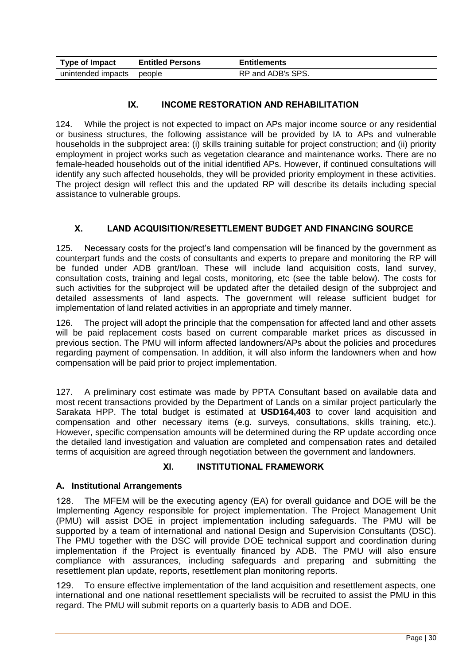| Type of Impact     | <b>Entitled Persons</b> | <b>Entitlements</b> |
|--------------------|-------------------------|---------------------|
| unintended impacts | people                  | RP and ADB's SPS.   |

# **IX. INCOME RESTORATION AND REHABILITATION**

<span id="page-30-0"></span>124. While the project is not expected to impact on APs major income source or any residential or business structures, the following assistance will be provided by IA to APs and vulnerable households in the subproject area: (i) skills training suitable for project construction; and (ii) priority employment in project works such as vegetation clearance and maintenance works. There are no female-headed households out of the initial identified APs. However, if continued consultations will identify any such affected households, they will be provided priority employment in these activities. The project design will reflect this and the updated RP will describe its details including special assistance to vulnerable groups.

# **X. LAND ACQUISITION/RESETTLEMENT BUDGET AND FINANCING SOURCE**

<span id="page-30-1"></span>125. Necessary costs for the project's land compensation will be financed by the government as counterpart funds and the costs of consultants and experts to prepare and monitoring the RP will be funded under ADB grant/loan. These will include land acquisition costs, land survey, consultation costs, training and legal costs, monitoring, etc (see the table below). The costs for such activities for the subproject will be updated after the detailed design of the subproject and detailed assessments of land aspects. The government will release sufficient budget for implementation of land related activities in an appropriate and timely manner.

126. The project will adopt the principle that the compensation for affected land and other assets will be paid replacement costs based on current comparable market prices as discussed in previous section. The PMU will inform affected landowners/APs about the policies and procedures regarding payment of compensation. In addition, it will also inform the landowners when and how compensation will be paid prior to project implementation.

127. A preliminary cost estimate was made by PPTA Consultant based on available data and most recent transactions provided by the Department of Lands on a similar project particularly the Sarakata HPP. The total budget is estimated at **USD164,403** to cover land acquisition and compensation and other necessary items (e.g. surveys, consultations, skills training, etc.). However, specific compensation amounts will be determined during the RP update according once the detailed land investigation and valuation are completed and compensation rates and detailed terms of acquisition are agreed through negotiation between the government and landowners.

#### **XI. INSTITUTIONAL FRAMEWORK**

#### <span id="page-30-3"></span><span id="page-30-2"></span>**A. Institutional Arrangements**

 $128.$ The MFEM will be the executing agency (EA) for overall guidance and DOE will be the Implementing Agency responsible for project implementation. The Project Management Unit (PMU) will assist DOE in project implementation including safeguards. The PMU will be supported by a team of international and national Design and Supervision Consultants (DSC). The PMU together with the DSC will provide DOE technical support and coordination during implementation if the Project is eventually financed by ADB. The PMU will also ensure compliance with assurances, including safeguards and preparing and submitting the resettlement plan update, reports, resettlement plan monitoring reports.

 $129.$ To ensure effective implementation of the land acquisition and resettlement aspects, one international and one national resettlement specialists will be recruited to assist the PMU in this regard. The PMU will submit reports on a quarterly basis to ADB and DOE.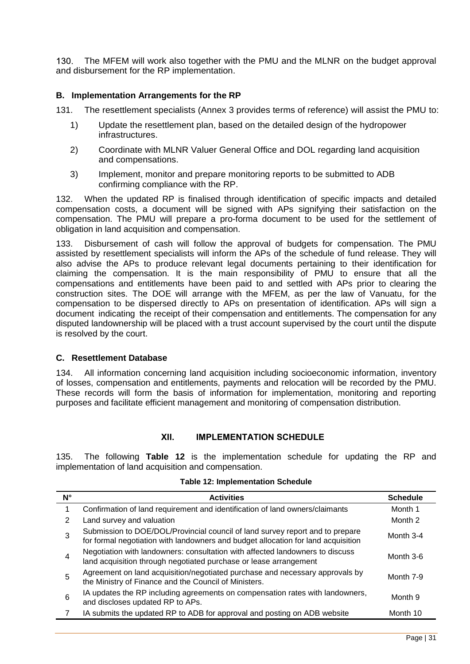The MFEM will work also together with the PMU and the MLNR on the budget approval  $130.$ and disbursement for the RP implementation.

#### <span id="page-31-0"></span>**B. Implementation Arrangements for the RP**

131. The resettlement specialists (Annex 3 provides terms of reference) will assist the PMU to:

- 1) Update the resettlement plan, based on the detailed design of the hydropower infrastructures.
- 2) Coordinate with MLNR Valuer General Office and DOL regarding land acquisition and compensations.
- 3) Implement, monitor and prepare monitoring reports to be submitted to ADB confirming compliance with the RP.

132. When the updated RP is finalised through identification of specific impacts and detailed compensation costs, a document will be signed with APs signifying their satisfaction on the compensation. The PMU will prepare a pro-forma document to be used for the settlement of obligation in land acquisition and compensation.

133. Disbursement of cash will follow the approval of budgets for compensation. The PMU assisted by resettlement specialists will inform the APs of the schedule of fund release. They will also advise the APs to produce relevant legal documents pertaining to their identification for claiming the compensation. It is the main responsibility of PMU to ensure that all the compensations and entitlements have been paid to and settled with APs prior to clearing the construction sites. The DOE will arrange with the MFEM, as per the law of Vanuatu, for the compensation to be dispersed directly to APs on presentation of identification. APs will sign a document indicating the receipt of their compensation and entitlements. The compensation for any disputed landownership will be placed with a trust account supervised by the court until the dispute is resolved by the court.

#### <span id="page-31-1"></span>**C. Resettlement Database**

134. All information concerning land acquisition including socioeconomic information, inventory of losses, compensation and entitlements, payments and relocation will be recorded by the PMU. These records will form the basis of information for implementation, monitoring and reporting purposes and facilitate efficient management and monitoring of compensation distribution.

#### **XII. IMPLEMENTATION SCHEDULE**

<span id="page-31-2"></span>135. The following **Table 12** is the implementation schedule for updating the RP and implementation of land acquisition and compensation.

|  |  | <b>Table 12: Implementation Schedule</b> |  |
|--|--|------------------------------------------|--|
|--|--|------------------------------------------|--|

| N° | <b>Activities</b>                                                                                                                                                  | <b>Schedule</b> |
|----|--------------------------------------------------------------------------------------------------------------------------------------------------------------------|-----------------|
|    | Confirmation of land requirement and identification of land owners/claimants                                                                                       | Month 1         |
| 2  | Land survey and valuation                                                                                                                                          | Month 2         |
| 3  | Submission to DOE/DOL/Provincial council of land survey report and to prepare<br>for formal negotiation with landowners and budget allocation for land acquisition | Month 3-4       |
| 4  | Negotiation with landowners: consultation with affected landowners to discuss<br>land acquisition through negotiated purchase or lease arrangement                 | Month 3-6       |
| 5  | Agreement on land acquisition/negotiated purchase and necessary approvals by<br>the Ministry of Finance and the Council of Ministers.                              | Month 7-9       |
| 6  | IA updates the RP including agreements on compensation rates with landowners,<br>and discloses updated RP to APs.                                                  | Month 9         |
|    | IA submits the updated RP to ADB for approval and posting on ADB website                                                                                           | Month 10        |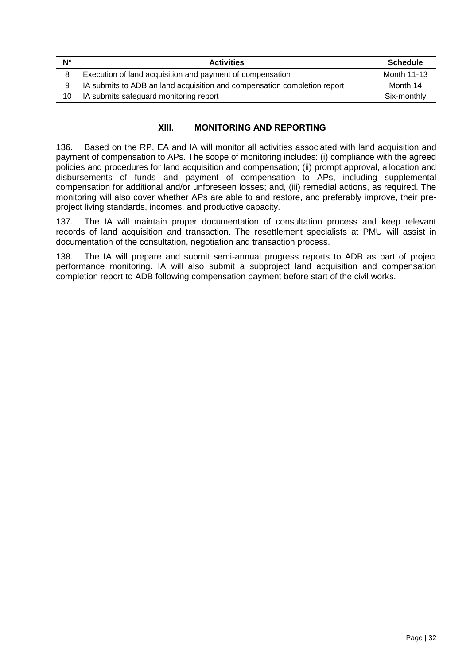| Ν° | <b>Activities</b>                                                        | <b>Schedule</b> |
|----|--------------------------------------------------------------------------|-----------------|
| 8  | Execution of land acquisition and payment of compensation                | Month 11-13     |
| 9  | IA submits to ADB an land acquisition and compensation completion report | Month 14        |
| 10 | IA submits safeguard monitoring report                                   | Six-monthly     |
|    |                                                                          |                 |

# **XIII. MONITORING AND REPORTING**

<span id="page-32-0"></span>136. Based on the RP, EA and IA will monitor all activities associated with land acquisition and payment of compensation to APs. The scope of monitoring includes: (i) compliance with the agreed policies and procedures for land acquisition and compensation; (ii) prompt approval, allocation and disbursements of funds and payment of compensation to APs, including supplemental compensation for additional and/or unforeseen losses; and, (iii) remedial actions, as required. The monitoring will also cover whether APs are able to and restore, and preferably improve, their preproject living standards, incomes, and productive capacity.

137. The IA will maintain proper documentation of consultation process and keep relevant records of land acquisition and transaction. The resettlement specialists at PMU will assist in documentation of the consultation, negotiation and transaction process.

138. The IA will prepare and submit semi-annual progress reports to ADB as part of project performance monitoring. IA will also submit a subproject land acquisition and compensation completion report to ADB following compensation payment before start of the civil works.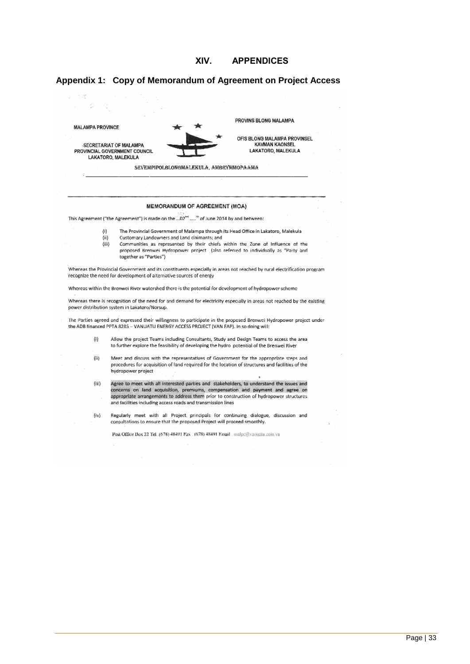

#### <span id="page-33-1"></span><span id="page-33-0"></span>**Appendix 1: Copy of Memorandum of Agreement on Project Access**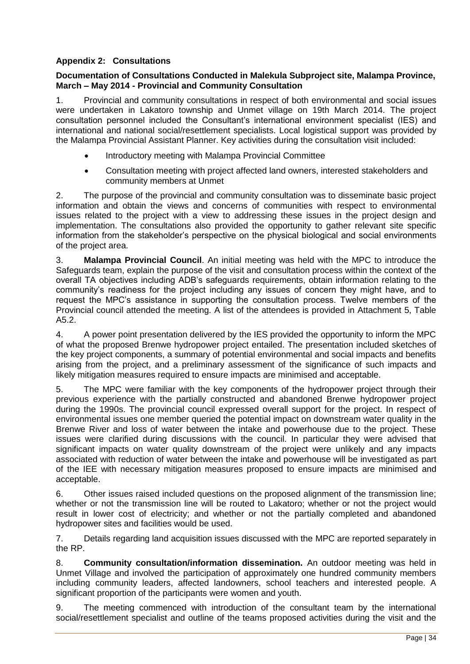# <span id="page-34-0"></span>**Appendix 2: Consultations**

#### **Documentation of Consultations Conducted in Malekula Subproject site, Malampa Province, March – May 2014 - Provincial and Community Consultation**

1. Provincial and community consultations in respect of both environmental and social issues were undertaken in Lakatoro township and Unmet village on 19th March 2014. The project consultation personnel included the Consultant's international environment specialist (IES) and international and national social/resettlement specialists. Local logistical support was provided by the Malampa Provincial Assistant Planner. Key activities during the consultation visit included:

- Introductory meeting with Malampa Provincial Committee
- Consultation meeting with project affected land owners, interested stakeholders and community members at Unmet

2. The purpose of the provincial and community consultation was to disseminate basic project information and obtain the views and concerns of communities with respect to environmental issues related to the project with a view to addressing these issues in the project design and implementation. The consultations also provided the opportunity to gather relevant site specific information from the stakeholder's perspective on the physical biological and social environments of the project area.

3. **Malampa Provincial Council**. An initial meeting was held with the MPC to introduce the Safeguards team, explain the purpose of the visit and consultation process within the context of the overall TA objectives including ADB's safeguards requirements, obtain information relating to the community's readiness for the project including any issues of concern they might have, and to request the MPC's assistance in supporting the consultation process. Twelve members of the Provincial council attended the meeting. A list of the attendees is provided in Attachment 5, Table A5.2.

4. A power point presentation delivered by the IES provided the opportunity to inform the MPC of what the proposed Brenwe hydropower project entailed. The presentation included sketches of the key project components, a summary of potential environmental and social impacts and benefits arising from the project, and a preliminary assessment of the significance of such impacts and likely mitigation measures required to ensure impacts are minimised and acceptable.

5. The MPC were familiar with the key components of the hydropower project through their previous experience with the partially constructed and abandoned Brenwe hydropower project during the 1990s. The provincial council expressed overall support for the project. In respect of environmental issues one member queried the potential impact on downstream water quality in the Brenwe River and loss of water between the intake and powerhouse due to the project. These issues were clarified during discussions with the council. In particular they were advised that significant impacts on water quality downstream of the project were unlikely and any impacts associated with reduction of water between the intake and powerhouse will be investigated as part of the IEE with necessary mitigation measures proposed to ensure impacts are minimised and acceptable.

6. Other issues raised included questions on the proposed alignment of the transmission line; whether or not the transmission line will be routed to Lakatoro; whether or not the project would result in lower cost of electricity; and whether or not the partially completed and abandoned hydropower sites and facilities would be used.

7. Details regarding land acquisition issues discussed with the MPC are reported separately in the RP.

8. **Community consultation/information dissemination.** An outdoor meeting was held in Unmet Village and involved the participation of approximately one hundred community members including community leaders, affected landowners, school teachers and interested people. A significant proportion of the participants were women and youth.

9. The meeting commenced with introduction of the consultant team by the international social/resettlement specialist and outline of the teams proposed activities during the visit and the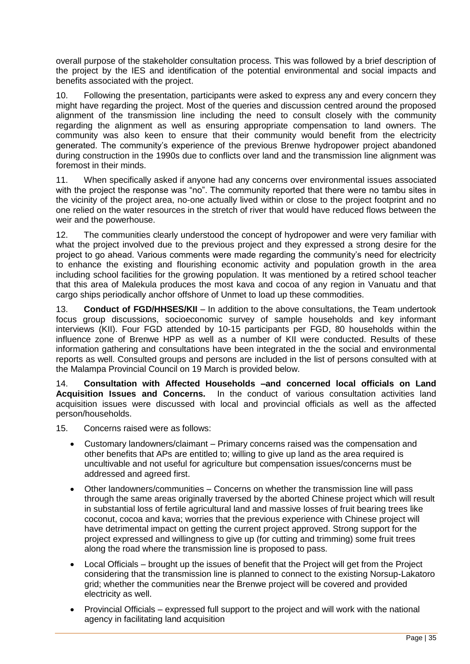overall purpose of the stakeholder consultation process. This was followed by a brief description of the project by the IES and identification of the potential environmental and social impacts and benefits associated with the project.

10. Following the presentation, participants were asked to express any and every concern they might have regarding the project. Most of the queries and discussion centred around the proposed alignment of the transmission line including the need to consult closely with the community regarding the alignment as well as ensuring appropriate compensation to land owners. The community was also keen to ensure that their community would benefit from the electricity generated. The community's experience of the previous Brenwe hydropower project abandoned during construction in the 1990s due to conflicts over land and the transmission line alignment was foremost in their minds.

11. When specifically asked if anyone had any concerns over environmental issues associated with the project the response was "no". The community reported that there were no tambu sites in the vicinity of the project area, no-one actually lived within or close to the project footprint and no one relied on the water resources in the stretch of river that would have reduced flows between the weir and the powerhouse.

12. The communities clearly understood the concept of hydropower and were very familiar with what the project involved due to the previous project and they expressed a strong desire for the project to go ahead. Various comments were made regarding the community's need for electricity to enhance the existing and flourishing economic activity and population growth in the area including school facilities for the growing population. It was mentioned by a retired school teacher that this area of Malekula produces the most kava and cocoa of any region in Vanuatu and that cargo ships periodically anchor offshore of Unmet to load up these commodities.

13. **Conduct of FGD/HHSES/KII** – In addition to the above consultations, the Team undertook focus group discussions, socioeconomic survey of sample households and key informant interviews (KII). Four FGD attended by 10-15 participants per FGD, 80 households within the influence zone of Brenwe HPP as well as a number of KII were conducted. Results of these information gathering and consultations have been integrated in the the social and environmental reports as well. Consulted groups and persons are included in the list of persons consulted with at the Malampa Provincial Council on 19 March is provided below.

14. **Consultation with Affected Households –and concerned local officials on Land Acquisition Issues and Concerns.** In the conduct of various consultation activities land acquisition issues were discussed with local and provincial officials as well as the affected person/households.

- 15. Concerns raised were as follows:
	- Customary landowners/claimant Primary concerns raised was the compensation and other benefits that APs are entitled to; willing to give up land as the area required is uncultivable and not useful for agriculture but compensation issues/concerns must be addressed and agreed first.
	- Other landowners/communities Concerns on whether the transmission line will pass through the same areas originally traversed by the aborted Chinese project which will result in substantial loss of fertile agricultural land and massive losses of fruit bearing trees like coconut, cocoa and kava; worries that the previous experience with Chinese project will have detrimental impact on getting the current project approved. Strong support for the project expressed and willingness to give up (for cutting and trimming) some fruit trees along the road where the transmission line is proposed to pass.
	- Local Officials brought up the issues of benefit that the Project will get from the Project considering that the transmission line is planned to connect to the existing Norsup-Lakatoro grid; whether the communities near the Brenwe project will be covered and provided electricity as well.
	- Provincial Officials expressed full support to the project and will work with the national agency in facilitating land acquisition